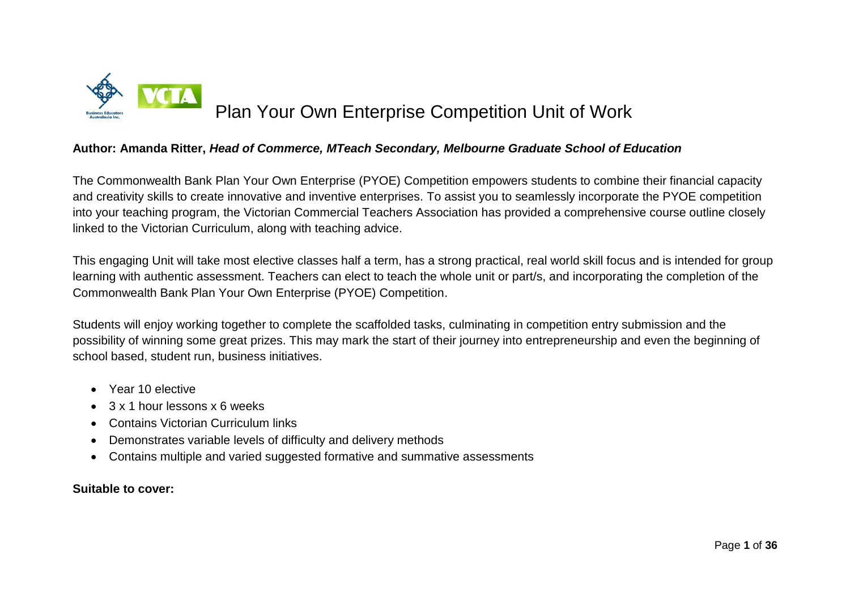

# Plan Your Own Enterprise Competition Unit of Work

### **Author: Amanda Ritter,** *Head of Commerce, MTeach Secondary, Melbourne Graduate School of Education*

The Commonwealth Bank Plan Your Own Enterprise (PYOE) Competition empowers students to combine their financial capacity and creativity skills to create innovative and inventive enterprises. To assist you to seamlessly incorporate the PYOE competition into your teaching program, the Victorian Commercial Teachers Association has provided a comprehensive course outline closely linked to the Victorian Curriculum, along with teaching advice.

This engaging Unit will take most elective classes half a term, has a strong practical, real world skill focus and is intended for group learning with authentic assessment. Teachers can elect to teach the whole unit or part/s, and incorporating the completion of the Commonwealth Bank Plan Your Own Enterprise (PYOE) Competition.

Students will enjoy working together to complete the scaffolded tasks, culminating in competition entry submission and the possibility of winning some great prizes. This may mark the start of their journey into entrepreneurship and even the beginning of school based, student run, business initiatives.

- Year 10 elective
- $\bullet$  3 x 1 hour lessons x 6 weeks
- Contains Victorian Curriculum links
- Demonstrates variable levels of difficulty and delivery methods
- Contains multiple and varied suggested formative and summative assessments

### **Suitable to cover:**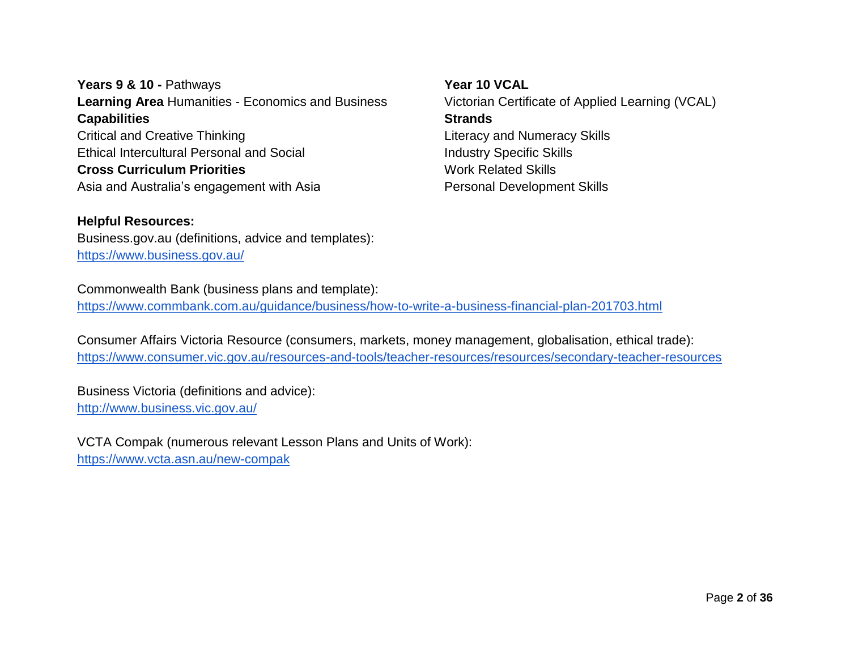**Years 9 & 10 -** Pathways **Learning Area** Humanities - Economics and Business **Capabilities** Critical and Creative Thinking Ethical Intercultural Personal and Social **Cross Curriculum Priorities** Asia and Australia's engagement with Asia

**Year 10 VCAL** Victorian Certificate of Applied Learning (VCAL) **Strands** Literacy and Numeracy Skills Industry Specific Skills Work Related Skills Personal Development Skills

**Helpful Resources:** Business.gov.au (definitions, advice and templates): <https://www.business.gov.au/>

Commonwealth Bank (business plans and template): <https://www.commbank.com.au/guidance/business/how-to-write-a-business-financial-plan-201703.html>

Consumer Affairs Victoria Resource (consumers, markets, money management, globalisation, ethical trade): <https://www.consumer.vic.gov.au/resources-and-tools/teacher-resources/resources/secondary-teacher-resources>

Business Victoria (definitions and advice): <http://www.business.vic.gov.au/>

VCTA Compak (numerous relevant Lesson Plans and Units of Work): <https://www.vcta.asn.au/new-compak>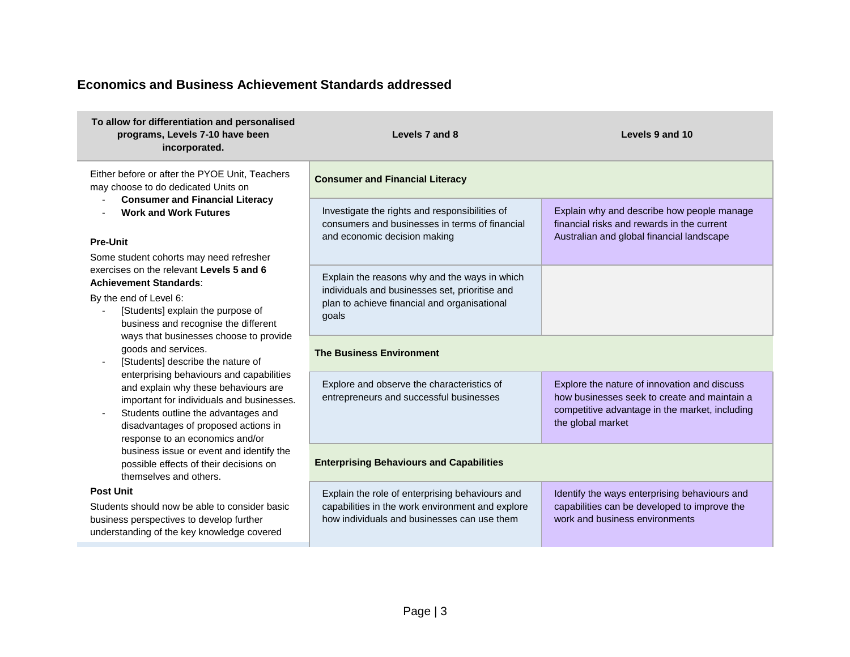# **Economics and Business Achievement Standards addressed**

| To allow for differentiation and personalised<br>programs, Levels 7-10 have been<br>incorporated.                                                                                                                                               | Levels 7 and 8                                                                                                                                           | Levels 9 and 10                                                                                                                                                     |  |
|-------------------------------------------------------------------------------------------------------------------------------------------------------------------------------------------------------------------------------------------------|----------------------------------------------------------------------------------------------------------------------------------------------------------|---------------------------------------------------------------------------------------------------------------------------------------------------------------------|--|
| Either before or after the PYOE Unit, Teachers<br>may choose to do dedicated Units on                                                                                                                                                           | <b>Consumer and Financial Literacy</b>                                                                                                                   |                                                                                                                                                                     |  |
| <b>Consumer and Financial Literacy</b><br><b>Work and Work Futures</b><br><b>Pre-Unit</b>                                                                                                                                                       | Investigate the rights and responsibilities of<br>consumers and businesses in terms of financial<br>and economic decision making                         | Explain why and describe how people manage<br>financial risks and rewards in the current<br>Australian and global financial landscape                               |  |
| Some student cohorts may need refresher<br>exercises on the relevant Levels 5 and 6<br><b>Achievement Standards:</b><br>By the end of Level 6:<br>[Students] explain the purpose of<br>business and recognise the different                     | Explain the reasons why and the ways in which<br>individuals and businesses set, prioritise and<br>plan to achieve financial and organisational<br>goals |                                                                                                                                                                     |  |
| ways that businesses choose to provide<br>goods and services.<br>[Students] describe the nature of                                                                                                                                              | <b>The Business Environment</b>                                                                                                                          |                                                                                                                                                                     |  |
| enterprising behaviours and capabilities<br>and explain why these behaviours are<br>important for individuals and businesses.<br>Students outline the advantages and<br>disadvantages of proposed actions in<br>response to an economics and/or | Explore and observe the characteristics of<br>entrepreneurs and successful businesses                                                                    | Explore the nature of innovation and discuss<br>how businesses seek to create and maintain a<br>competitive advantage in the market, including<br>the global market |  |
| business issue or event and identify the<br>possible effects of their decisions on<br>themselves and others.                                                                                                                                    | <b>Enterprising Behaviours and Capabilities</b>                                                                                                          |                                                                                                                                                                     |  |
| <b>Post Unit</b><br>Students should now be able to consider basic<br>business perspectives to develop further<br>understanding of the key knowledge covered                                                                                     | Explain the role of enterprising behaviours and<br>capabilities in the work environment and explore<br>how individuals and businesses can use them       | Identify the ways enterprising behaviours and<br>capabilities can be developed to improve the<br>work and business environments                                     |  |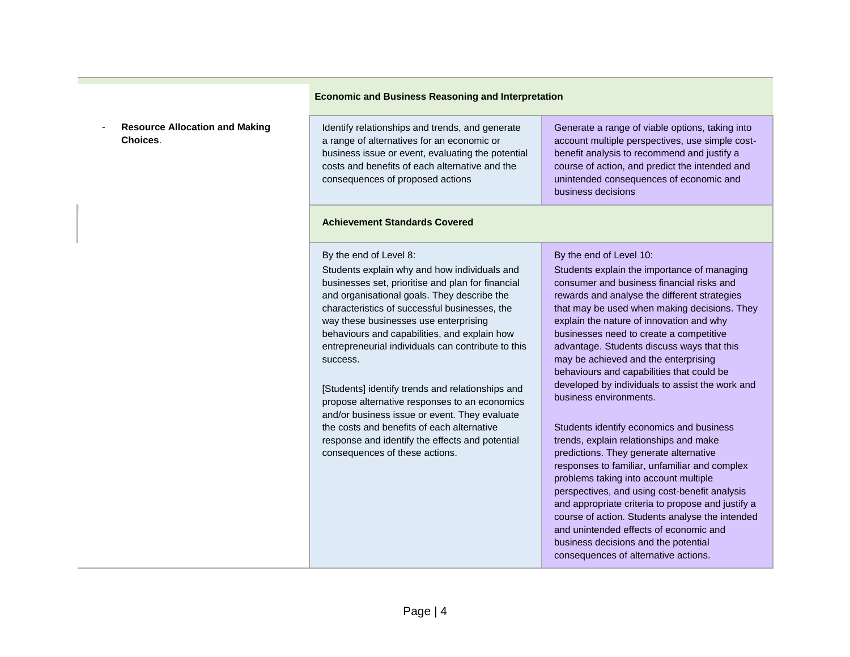#### **Economic and Business Reasoning and Interpretation**

- **Resource Allocation and Making Choices**.

Identify relationships and trends, and generate a range of alternatives for an economic or business issue or event, evaluating the potential costs and benefits of each alternative and the consequences of proposed actions

#### **Achievement Standards Covered**

By the end of Level 8:

Students explain why and how individuals and businesses set, prioritise and plan for financial and organisational goals. They describe the characteristics of successful businesses, the way these businesses use enterprising behaviours and capabilities, and explain how entrepreneurial individuals can contribute to this success.

[Students] identify trends and relationships and propose alternative responses to an economics and/or business issue or event. They evaluate the costs and benefits of each alternative response and identify the effects and potential consequences of these actions.

Generate a range of viable options, taking into account multiple perspectives, use simple costbenefit analysis to recommend and justify a course of action, and predict the intended and unintended consequences of economic and business decisions

#### By the end of Level 10:

Students explain the importance of managing consumer and business financial risks and rewards and analyse the different strategies that may be used when making decisions. They explain the nature of innovation and why businesses need to create a competitive advantage. Students discuss ways that this may be achieved and the enterprising behaviours and capabilities that could be developed by individuals to assist the work and business environments.

Students identify economics and business trends, explain relationships and make predictions. They generate alternative responses to familiar, unfamiliar and complex problems taking into account multiple perspectives, and using cost-benefit analysis and appropriate criteria to propose and justify a course of action. Students analyse the intended and unintended effects of economic and business decisions and the potential consequences of alternative actions.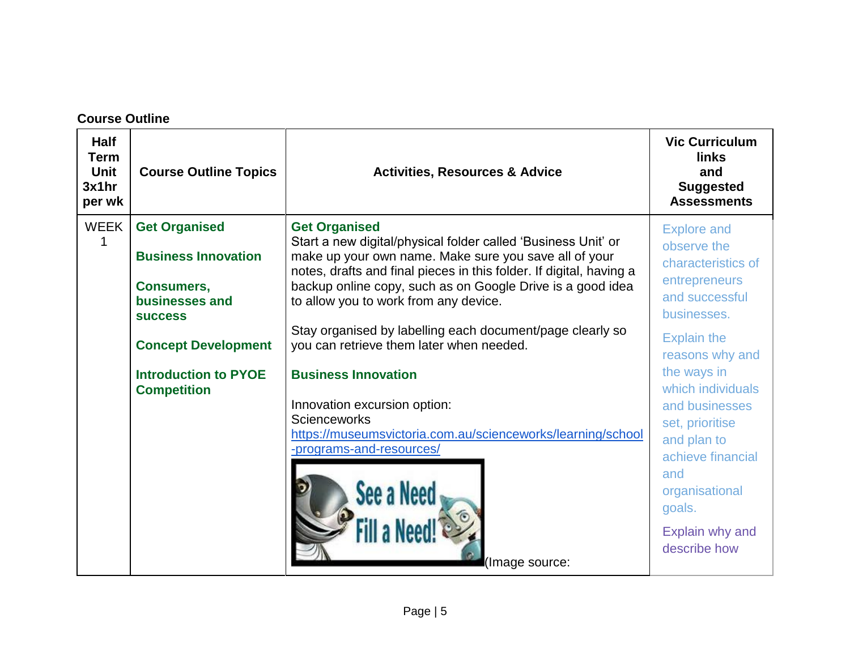# **Course Outline**

| <b>Half</b><br><b>Term</b><br>Unit<br>3x1hr<br>per wk | <b>Course Outline Topics</b>                                                                                                                                                                   | <b>Activities, Resources &amp; Advice</b>                                                                                                                                                                                                                                                                                                                                                                                                                                                                                                                                                                             | <b>Vic Curriculum</b><br><b>links</b><br>and<br><b>Suggested</b><br><b>Assessments</b>                                                                                                                                                                          |
|-------------------------------------------------------|------------------------------------------------------------------------------------------------------------------------------------------------------------------------------------------------|-----------------------------------------------------------------------------------------------------------------------------------------------------------------------------------------------------------------------------------------------------------------------------------------------------------------------------------------------------------------------------------------------------------------------------------------------------------------------------------------------------------------------------------------------------------------------------------------------------------------------|-----------------------------------------------------------------------------------------------------------------------------------------------------------------------------------------------------------------------------------------------------------------|
| <b>WEEK</b>                                           | <b>Get Organised</b><br><b>Business Innovation</b><br><b>Consumers,</b><br>businesses and<br><b>SUCCESS</b><br><b>Concept Development</b><br><b>Introduction to PYOE</b><br><b>Competition</b> | <b>Get Organised</b><br>Start a new digital/physical folder called 'Business Unit' or<br>make up your own name. Make sure you save all of your<br>notes, drafts and final pieces in this folder. If digital, having a<br>backup online copy, such as on Google Drive is a good idea<br>to allow you to work from any device.<br>Stay organised by labelling each document/page clearly so<br>you can retrieve them later when needed.<br><b>Business Innovation</b><br>Innovation excursion option:<br><b>Scienceworks</b><br>https://museumsvictoria.com.au/scienceworks/learning/school<br>-programs-and-resources/ | <b>Explore and</b><br>observe the<br>characteristics of<br>entrepreneurs<br>and successful<br>businesses.<br><b>Explain the</b><br>reasons why and<br>the ways in<br>which individuals<br>and businesses<br>set, prioritise<br>and plan to<br>achieve financial |
|                                                       |                                                                                                                                                                                                | (Image source:                                                                                                                                                                                                                                                                                                                                                                                                                                                                                                                                                                                                        | and<br>organisational<br>goals.<br>Explain why and<br>describe how                                                                                                                                                                                              |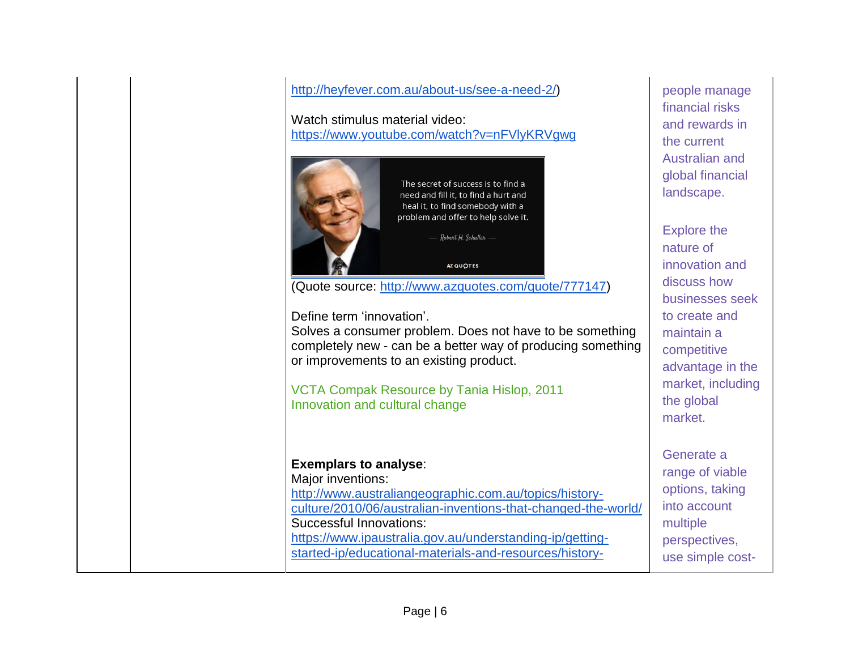| http://heyfever.com.au/about-us/see-a-need-2/) |  |
|------------------------------------------------|--|
|                                                |  |

Watch stimulus material video: <https://www.youtube.com/watch?v=nFVlyKRVgwg>

| The secret of success is to find a<br>need and fill it, to find a hurt and<br>heal it, to find somebody with a<br>problem and offer to help solve it.<br>Robert H. Schuller -<br><b>AZ QUOTES</b> |  |
|---------------------------------------------------------------------------------------------------------------------------------------------------------------------------------------------------|--|
| (Quote source: http://www.azquotes.com/quote/777147)                                                                                                                                              |  |
| Define term 'innovation'.<br>Solves a consumer problem. Does not have to be something<br>completely new - can be a better way of producing something<br>or improvements to an existing product.   |  |
| VCTA Compak Resource by Tania Hislop, 2011                                                                                                                                                        |  |
| Innovation and cultural change                                                                                                                                                                    |  |
|                                                                                                                                                                                                   |  |
| <b>Exemplars to analyse:</b>                                                                                                                                                                      |  |
| Major inventions:                                                                                                                                                                                 |  |
| http://www.australiangeographic.com.au/topics/history-                                                                                                                                            |  |
| culture/2010/06/australian-inventions-that-changed-the-world/<br>Successful Innovations:                                                                                                          |  |
|                                                                                                                                                                                                   |  |
| https://www.ipaustralia.gov.au/understanding-ip/getting-                                                                                                                                          |  |
| started-ip/educational-materials-and-resources/history-                                                                                                                                           |  |

people manage financial risks and rewards in the current Australian and global financial landscape.

Explore the nature of innovation and discuss how businesses seek to create and maintain a competitive advantage in the market, including the global market.

Generate a range of viable options, taking into account multiple perspectives, use simple cost-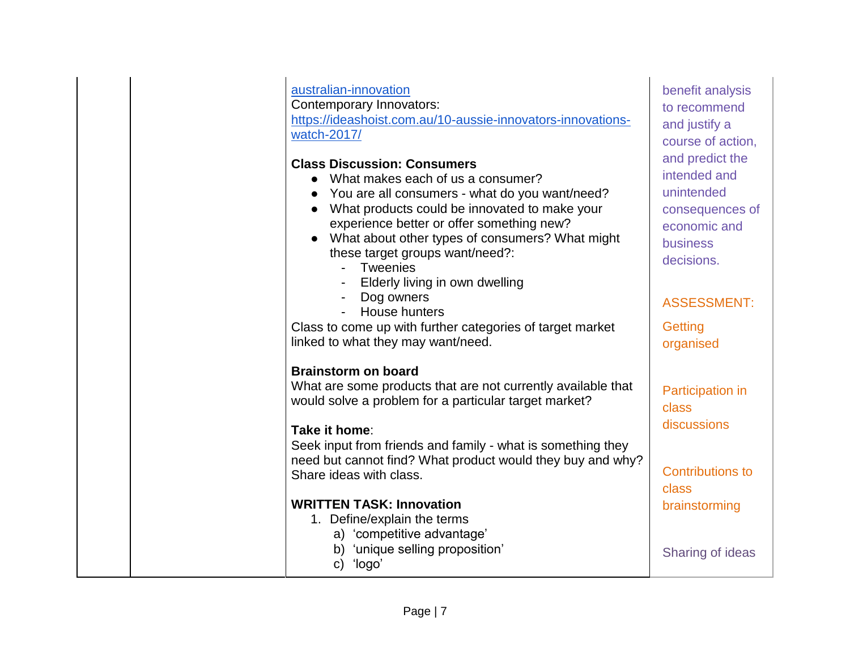# australian-innovation

Contemporary Innovators: [https://ideashoist.com.au/10-aussie-innovators-innovations](https://ideashoist.com.au/10-aussie-innovators-innovations-watch-2017/)[watch-2017/](https://ideashoist.com.au/10-aussie-innovators-innovations-watch-2017/)

# **Class Discussion: Consumers**

- What makes each of us a consumer?
- You are all consumers what do you want/need?
- What products could be innovated to make your experience better or offer something new?
- What about other types of consumers? What might these target groups want/need?:
	- Tweenies
	- Elderly living in own dwelling
	- Dog owners
	- House hunters

Class to come up with further categories of target market linked to what they may want/need.

### **Brainstorm on board**

What are some products that are not currently available that would solve a problem for a particular target market?

### **Take it home**:

Seek input from friends and family - what is something they need but cannot find? What product would they buy and why? Share ideas with class.

# **WRITTEN TASK: Innovation**

- 1. Define/explain the terms
	- a) 'competitive advantage'
	- b) 'unique selling proposition'
	- c) 'logo'

benefit analysis to recommend and justify a course of action, and predict the intended and unintended consequences of economic and business decisions. ASSESSMENT:

**Getting** organised

Participation in class discussions

Contributions to class brainstorming

Sharing of ideas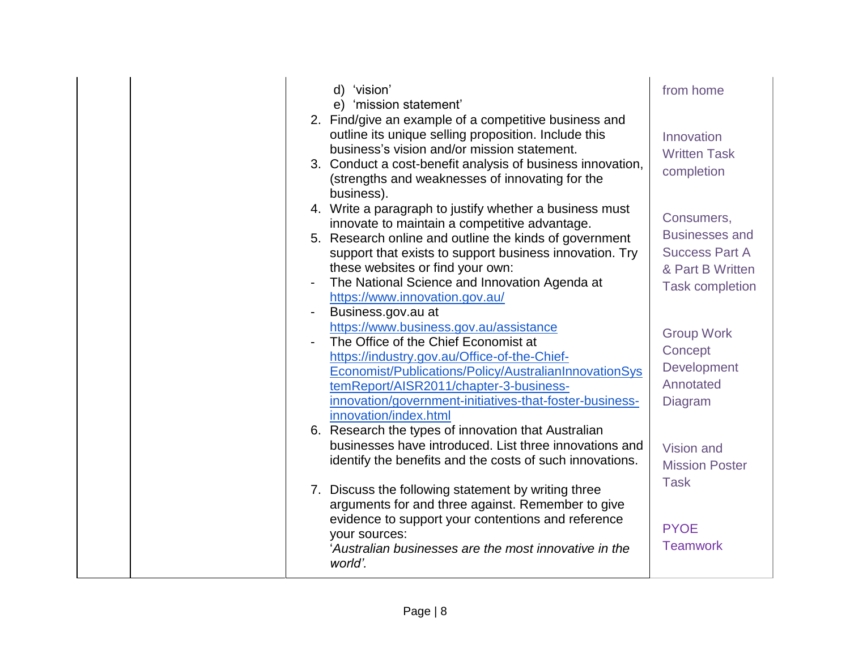|  |                | d) 'vision'<br>e) 'mission statement'                                                                                                                                                                                                                                                                                                                | from home                                                                                                  |
|--|----------------|------------------------------------------------------------------------------------------------------------------------------------------------------------------------------------------------------------------------------------------------------------------------------------------------------------------------------------------------------|------------------------------------------------------------------------------------------------------------|
|  |                | 2. Find/give an example of a competitive business and<br>outline its unique selling proposition. Include this<br>business's vision and/or mission statement.<br>3. Conduct a cost-benefit analysis of business innovation,<br>(strengths and weaknesses of innovating for the<br>business).                                                          | Innovation<br><b>Written Task</b><br>completion                                                            |
|  | $\overline{a}$ | 4. Write a paragraph to justify whether a business must<br>innovate to maintain a competitive advantage.<br>5. Research online and outline the kinds of government<br>support that exists to support business innovation. Try<br>these websites or find your own:<br>The National Science and Innovation Agenda at<br>https://www.innovation.gov.au/ | Consumers,<br><b>Businesses and</b><br><b>Success Part A</b><br>& Part B Written<br><b>Task completion</b> |
|  |                | Business.gov.au at<br>https://www.business.gov.au/assistance<br>The Office of the Chief Economist at<br>https://industry.gov.au/Office-of-the-Chief-<br>Economist/Publications/Policy/AustralianInnovationSys<br>temReport/AISR2011/chapter-3-business-<br>innovation/government-initiatives-that-foster-business-<br>innovation/index.html          | <b>Group Work</b><br>Concept<br>Development<br>Annotated<br><b>Diagram</b>                                 |
|  |                | 6. Research the types of innovation that Australian<br>businesses have introduced. List three innovations and<br>identify the benefits and the costs of such innovations.                                                                                                                                                                            | Vision and<br><b>Mission Poster</b><br><b>Task</b>                                                         |
|  |                | 7. Discuss the following statement by writing three<br>arguments for and three against. Remember to give<br>evidence to support your contentions and reference<br>your sources:<br>'Australian businesses are the most innovative in the<br>world'.                                                                                                  | <b>PYOE</b><br><b>Teamwork</b>                                                                             |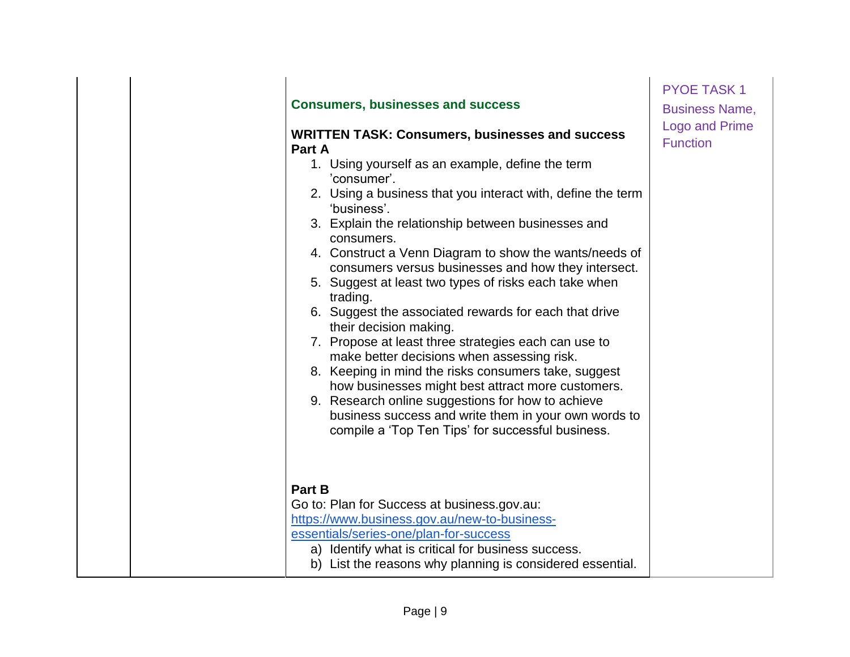| <b>Consumers, businesses and success</b><br><b>WRITTEN TASK: Consumers, businesses and success</b><br>Part A<br>1. Using yourself as an example, define the term<br>'consumer'.<br>2. Using a business that you interact with, define the term<br>'business'.<br>3. Explain the relationship between businesses and<br>consumers.<br>4. Construct a Venn Diagram to show the wants/needs of<br>consumers versus businesses and how they intersect.<br>5. Suggest at least two types of risks each take when | <b>PYOE TASK1</b><br><b>Business Name,</b><br><b>Logo and Prime</b><br><b>Function</b> |
|-------------------------------------------------------------------------------------------------------------------------------------------------------------------------------------------------------------------------------------------------------------------------------------------------------------------------------------------------------------------------------------------------------------------------------------------------------------------------------------------------------------|----------------------------------------------------------------------------------------|
| trading.<br>6. Suggest the associated rewards for each that drive<br>their decision making.<br>7. Propose at least three strategies each can use to<br>make better decisions when assessing risk.<br>8. Keeping in mind the risks consumers take, suggest<br>how businesses might best attract more customers.<br>9. Research online suggestions for how to achieve<br>business success and write them in your own words to<br>compile a 'Top Ten Tips' for successful business.                            |                                                                                        |
| Part B<br>Go to: Plan for Success at business.gov.au:<br>https://www.business.gov.au/new-to-business-<br>essentials/series-one/plan-for-success<br>a) Identify what is critical for business success.<br>b) List the reasons why planning is considered essential.                                                                                                                                                                                                                                          |                                                                                        |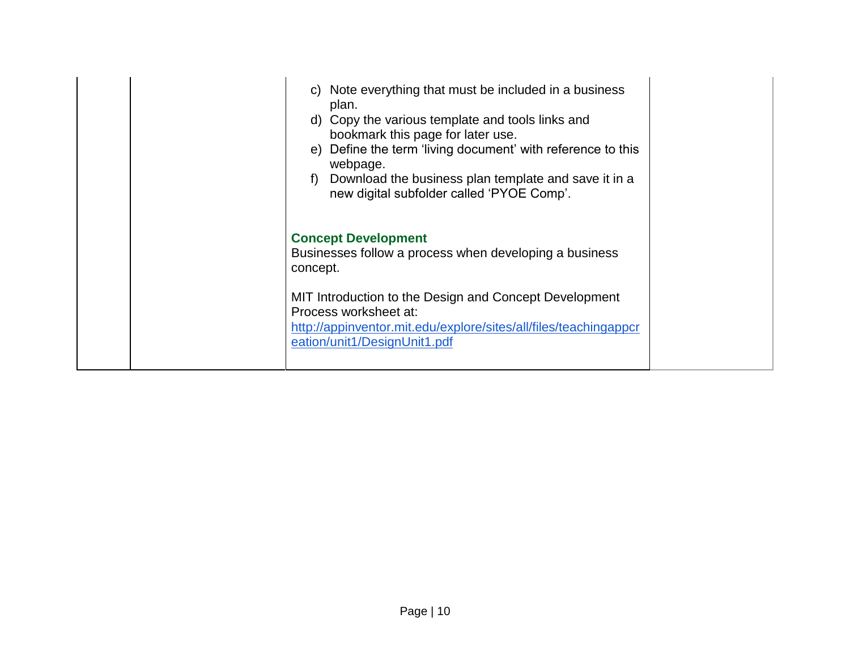| c) Note everything that must be included in a business<br>plan.<br>d) Copy the various template and tools links and<br>bookmark this page for later use.<br>e) Define the term 'living document' with reference to this<br>webpage.<br>f) Download the business plan template and save it in a<br>new digital subfolder called 'PYOE Comp'. |  |
|---------------------------------------------------------------------------------------------------------------------------------------------------------------------------------------------------------------------------------------------------------------------------------------------------------------------------------------------|--|
| <b>Concept Development</b><br>Businesses follow a process when developing a business<br>concept.                                                                                                                                                                                                                                            |  |
| MIT Introduction to the Design and Concept Development<br>Process worksheet at:<br>http://appinventor.mit.edu/explore/sites/all/files/teachingappcr<br>eation/unit1/DesignUnit1.pdf                                                                                                                                                         |  |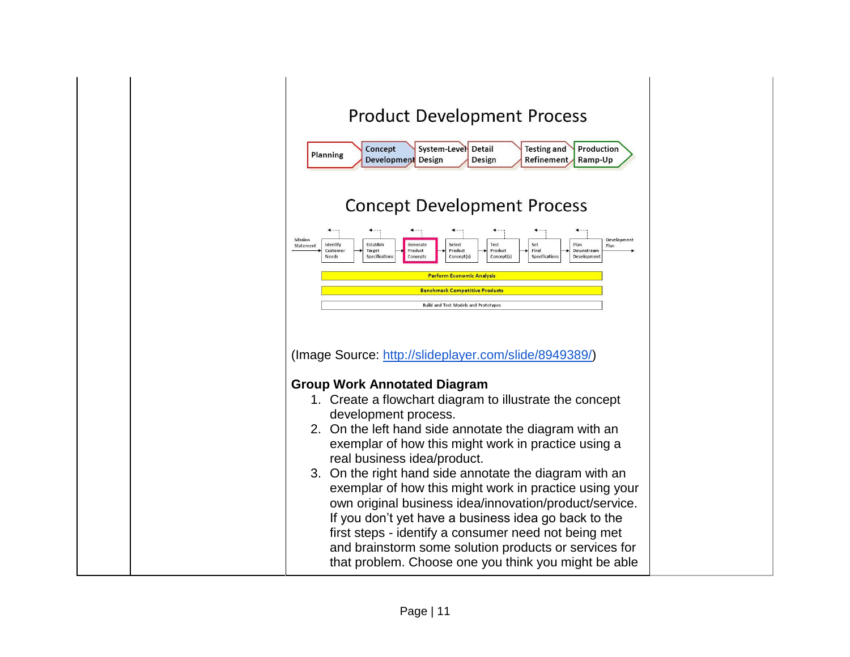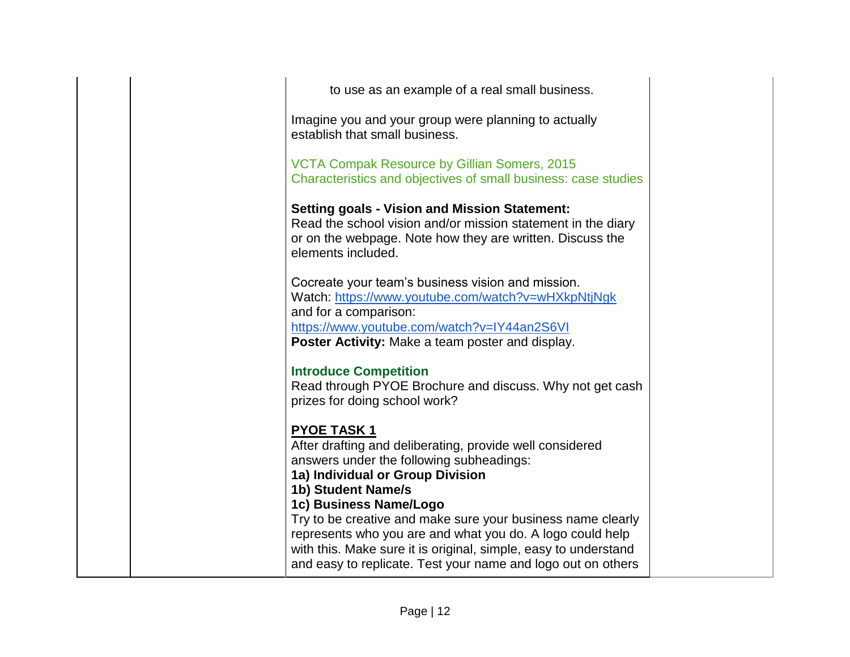| to use as an example of a real small business.<br>Imagine you and your group were planning to actually<br>establish that small business.                                                                                                                                                                                                                                                                     |
|--------------------------------------------------------------------------------------------------------------------------------------------------------------------------------------------------------------------------------------------------------------------------------------------------------------------------------------------------------------------------------------------------------------|
|                                                                                                                                                                                                                                                                                                                                                                                                              |
|                                                                                                                                                                                                                                                                                                                                                                                                              |
| <b>VCTA Compak Resource by Gillian Somers, 2015</b><br>Characteristics and objectives of small business: case studies                                                                                                                                                                                                                                                                                        |
| <b>Setting goals - Vision and Mission Statement:</b><br>Read the school vision and/or mission statement in the diary<br>or on the webpage. Note how they are written. Discuss the<br>elements included.                                                                                                                                                                                                      |
| Cocreate your team's business vision and mission.<br>Watch: https://www.youtube.com/watch?v=wHXkpNtjNgk<br>and for a comparison:<br>https://www.youtube.com/watch?v=IY44an2S6VI<br>Poster Activity: Make a team poster and display.                                                                                                                                                                          |
| <b>Introduce Competition</b><br>Read through PYOE Brochure and discuss. Why not get cash<br>prizes for doing school work?                                                                                                                                                                                                                                                                                    |
| <b>PYOE TASK1</b><br>After drafting and deliberating, provide well considered<br>answers under the following subheadings:<br>1a) Individual or Group Division<br>1b) Student Name/s<br>1c) Business Name/Logo<br>Try to be creative and make sure your business name clearly<br>represents who you are and what you do. A logo could help<br>with this. Make sure it is original, simple, easy to understand |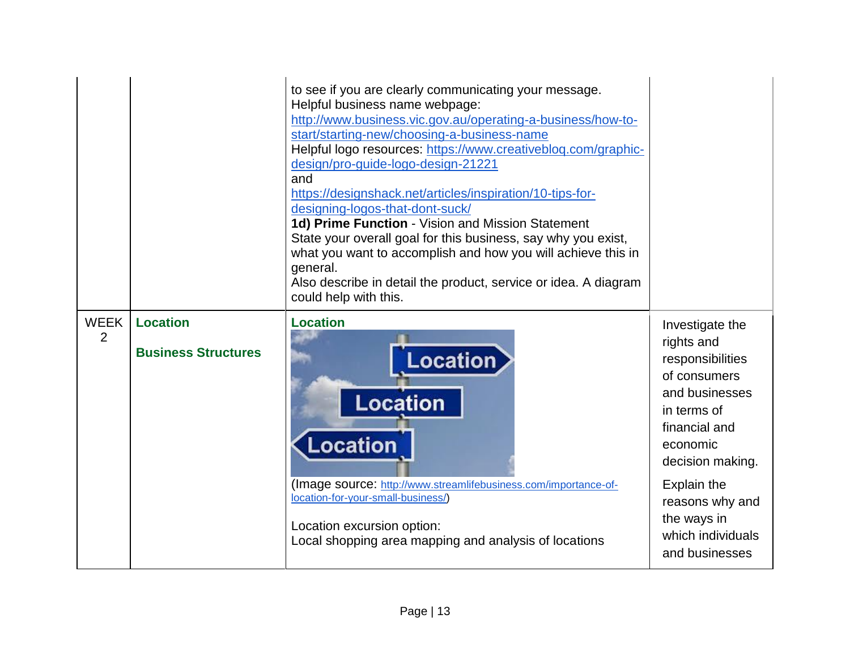|                               |                                               | to see if you are clearly communicating your message.<br>Helpful business name webpage:<br>http://www.business.vic.gov.au/operating-a-business/how-to-<br>start/starting-new/choosing-a-business-name<br>Helpful logo resources: https://www.creativeblog.com/graphic-<br>design/pro-guide-logo-design-21221<br>and<br>https://designshack.net/articles/inspiration/10-tips-for-<br>designing-logos-that-dont-suck/<br>1d) Prime Function - Vision and Mission Statement<br>State your overall goal for this business, say why you exist,<br>what you want to accomplish and how you will achieve this in<br>general.<br>Also describe in detail the product, service or idea. A diagram<br>could help with this. |                                                                                                                                                                                                                                             |
|-------------------------------|-----------------------------------------------|-------------------------------------------------------------------------------------------------------------------------------------------------------------------------------------------------------------------------------------------------------------------------------------------------------------------------------------------------------------------------------------------------------------------------------------------------------------------------------------------------------------------------------------------------------------------------------------------------------------------------------------------------------------------------------------------------------------------|---------------------------------------------------------------------------------------------------------------------------------------------------------------------------------------------------------------------------------------------|
| <b>WEEK</b><br>$\overline{2}$ | <b>Location</b><br><b>Business Structures</b> | <b>Location</b><br>Location<br><b>Location</b><br>Location<br>(Image source: http://www.streamlifebusiness.com/importance-of-<br>location-for-your-small-business/)<br>Location excursion option:<br>Local shopping area mapping and analysis of locations                                                                                                                                                                                                                                                                                                                                                                                                                                                        | Investigate the<br>rights and<br>responsibilities<br>of consumers<br>and businesses<br>in terms of<br>financial and<br>economic<br>decision making.<br>Explain the<br>reasons why and<br>the ways in<br>which individuals<br>and businesses |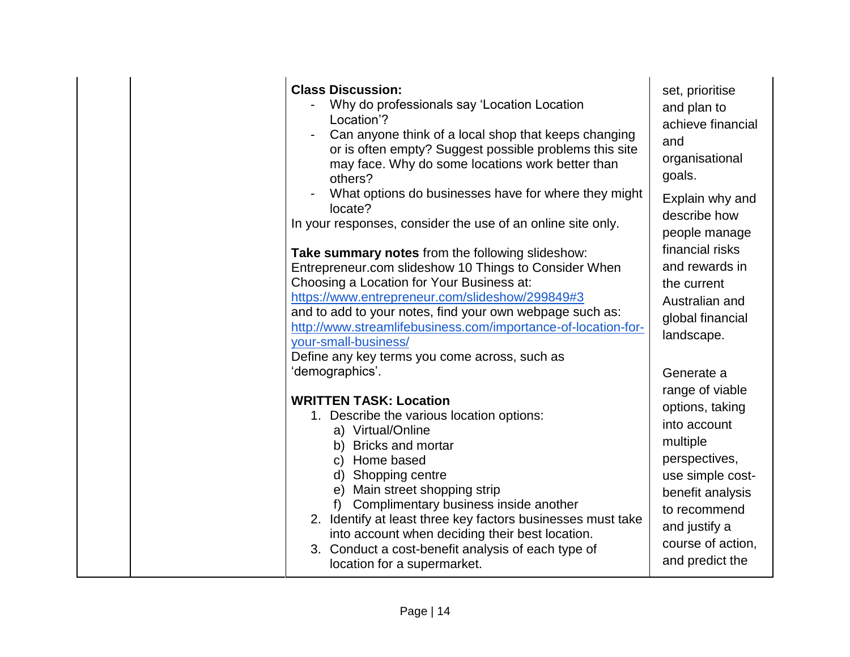| <b>Class Discussion:</b><br>Why do professionals say 'Location Location<br>Location'?<br>Can anyone think of a local shop that keeps changing<br>or is often empty? Suggest possible problems this site<br>may face. Why do some locations work better than<br>others?<br>What options do businesses have for where they might<br>locate?<br>In your responses, consider the use of an online site only.<br>Take summary notes from the following slideshow:<br>Entrepreneur.com slideshow 10 Things to Consider When<br>Choosing a Location for Your Business at:<br>https://www.entrepreneur.com/slideshow/299849#3<br>and to add to your notes, find your own webpage such as:<br>http://www.streamlifebusiness.com/importance-of-location-for-<br>your-small-business/ | set, prioritise<br>and plan to<br>achieve financial<br>and<br>organisational<br>goals.<br>Explain why and<br>describe how<br>people manage<br>financial risks<br>and rewards in<br>the current<br>Australian and<br>global financial<br>landscape. |
|----------------------------------------------------------------------------------------------------------------------------------------------------------------------------------------------------------------------------------------------------------------------------------------------------------------------------------------------------------------------------------------------------------------------------------------------------------------------------------------------------------------------------------------------------------------------------------------------------------------------------------------------------------------------------------------------------------------------------------------------------------------------------|----------------------------------------------------------------------------------------------------------------------------------------------------------------------------------------------------------------------------------------------------|
| Define any key terms you come across, such as<br>'demographics'.<br><b>WRITTEN TASK: Location</b><br>1. Describe the various location options:<br>a) Virtual/Online<br>b) Bricks and mortar<br>c) Home based<br>d) Shopping centre<br>e) Main street shopping strip<br>Complimentary business inside another<br>2. Identify at least three key factors businesses must take<br>into account when deciding their best location.<br>3. Conduct a cost-benefit analysis of each type of<br>location for a supermarket.                                                                                                                                                                                                                                                        | Generate a<br>range of viable<br>options, taking<br>into account<br>multiple<br>perspectives,<br>use simple cost-<br>benefit analysis<br>to recommend<br>and justify a<br>course of action,<br>and predict the                                     |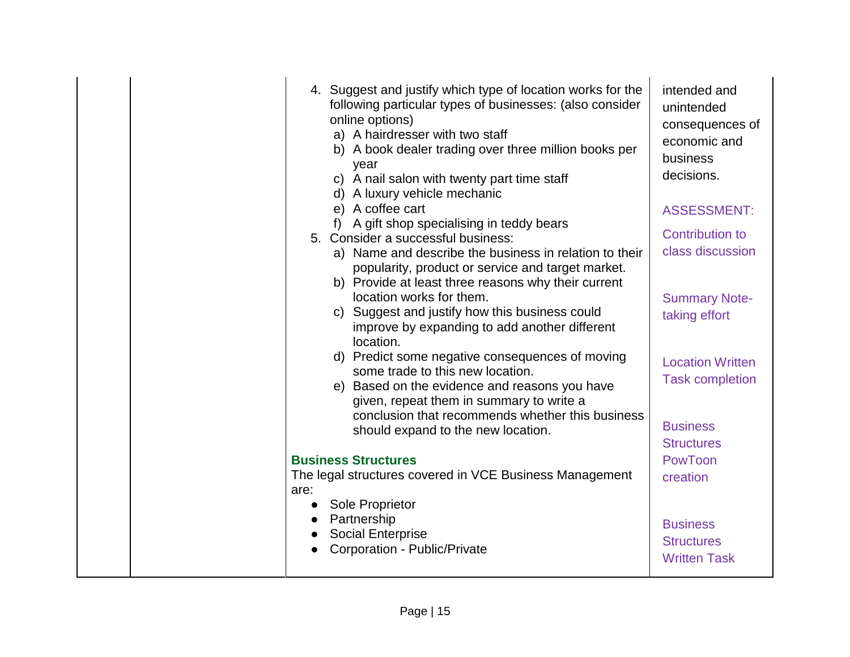| 4. Suggest and justify which type of location works for the<br>following particular types of businesses: (also consider<br>online options)<br>a) A hairdresser with two staff<br>b) A book dealer trading over three million books per<br>year<br>c) A nail salon with twenty part time staff<br>d) A luxury vehicle mechanic<br>e) A coffee cart<br>A gift shop specialising in teddy bears<br>5. Consider a successful business:<br>a) Name and describe the business in relation to their<br>popularity, product or service and target market.<br>b) Provide at least three reasons why their current<br>location works for them.<br>c) Suggest and justify how this business could<br>improve by expanding to add another different<br>location.<br>d) Predict some negative consequences of moving<br>some trade to this new location.<br>e) Based on the evidence and reasons you have<br>given, repeat them in summary to write a<br>conclusion that recommends whether this business | intended and<br>unintended<br>consequences of<br>economic and<br>business<br>decisions.<br><b>ASSESSMENT:</b><br><b>Contribution to</b><br>class discussion<br><b>Summary Note-</b><br>taking effort<br><b>Location Written</b><br><b>Task completion</b> |
|----------------------------------------------------------------------------------------------------------------------------------------------------------------------------------------------------------------------------------------------------------------------------------------------------------------------------------------------------------------------------------------------------------------------------------------------------------------------------------------------------------------------------------------------------------------------------------------------------------------------------------------------------------------------------------------------------------------------------------------------------------------------------------------------------------------------------------------------------------------------------------------------------------------------------------------------------------------------------------------------|-----------------------------------------------------------------------------------------------------------------------------------------------------------------------------------------------------------------------------------------------------------|
| should expand to the new location.                                                                                                                                                                                                                                                                                                                                                                                                                                                                                                                                                                                                                                                                                                                                                                                                                                                                                                                                                           | <b>Business</b><br><b>Structures</b>                                                                                                                                                                                                                      |
| <b>Business Structures</b><br>The legal structures covered in VCE Business Management<br>are:                                                                                                                                                                                                                                                                                                                                                                                                                                                                                                                                                                                                                                                                                                                                                                                                                                                                                                | PowToon<br>creation                                                                                                                                                                                                                                       |
| Sole Proprietor<br>Partnership<br><b>Social Enterprise</b><br>Corporation - Public/Private                                                                                                                                                                                                                                                                                                                                                                                                                                                                                                                                                                                                                                                                                                                                                                                                                                                                                                   | <b>Business</b><br><b>Structures</b><br><b>Written Task</b>                                                                                                                                                                                               |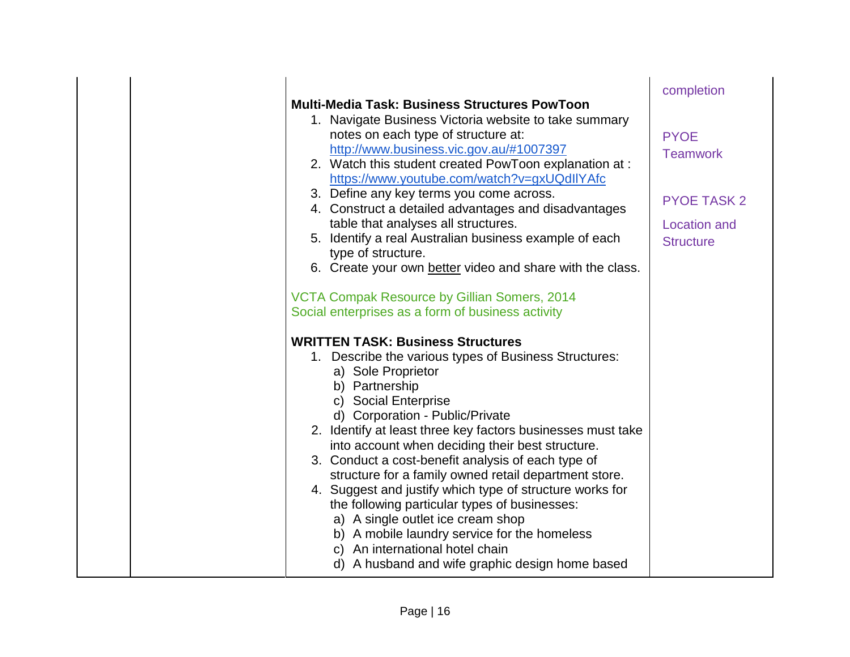|  | <b>Multi-Media Task: Business Structures PowToon</b>                                                                                                                                                                                                                                                                                                                                                                                                                                                                                                                                                                                                                                                                           | completion                                                                                      |
|--|--------------------------------------------------------------------------------------------------------------------------------------------------------------------------------------------------------------------------------------------------------------------------------------------------------------------------------------------------------------------------------------------------------------------------------------------------------------------------------------------------------------------------------------------------------------------------------------------------------------------------------------------------------------------------------------------------------------------------------|-------------------------------------------------------------------------------------------------|
|  | 1. Navigate Business Victoria website to take summary<br>notes on each type of structure at:<br>http://www.business.vic.gov.au/#1007397<br>2. Watch this student created PowToon explanation at :<br>https://www.youtube.com/watch?v=gxUQdllYAfc<br>3. Define any key terms you come across.<br>4. Construct a detailed advantages and disadvantages<br>table that analyses all structures.<br>5. Identify a real Australian business example of each<br>type of structure.<br>6. Create your own better video and share with the class.                                                                                                                                                                                       | <b>PYOE</b><br><b>Teamwork</b><br><b>PYOE TASK 2</b><br><b>Location and</b><br><b>Structure</b> |
|  | VCTA Compak Resource by Gillian Somers, 2014<br>Social enterprises as a form of business activity                                                                                                                                                                                                                                                                                                                                                                                                                                                                                                                                                                                                                              |                                                                                                 |
|  | <b>WRITTEN TASK: Business Structures</b><br>1. Describe the various types of Business Structures:<br>a) Sole Proprietor<br>b) Partnership<br>c) Social Enterprise<br>d) Corporation - Public/Private<br>2. Identify at least three key factors businesses must take<br>into account when deciding their best structure.<br>3. Conduct a cost-benefit analysis of each type of<br>structure for a family owned retail department store.<br>4. Suggest and justify which type of structure works for<br>the following particular types of businesses:<br>a) A single outlet ice cream shop<br>b) A mobile laundry service for the homeless<br>c) An international hotel chain<br>d) A husband and wife graphic design home based |                                                                                                 |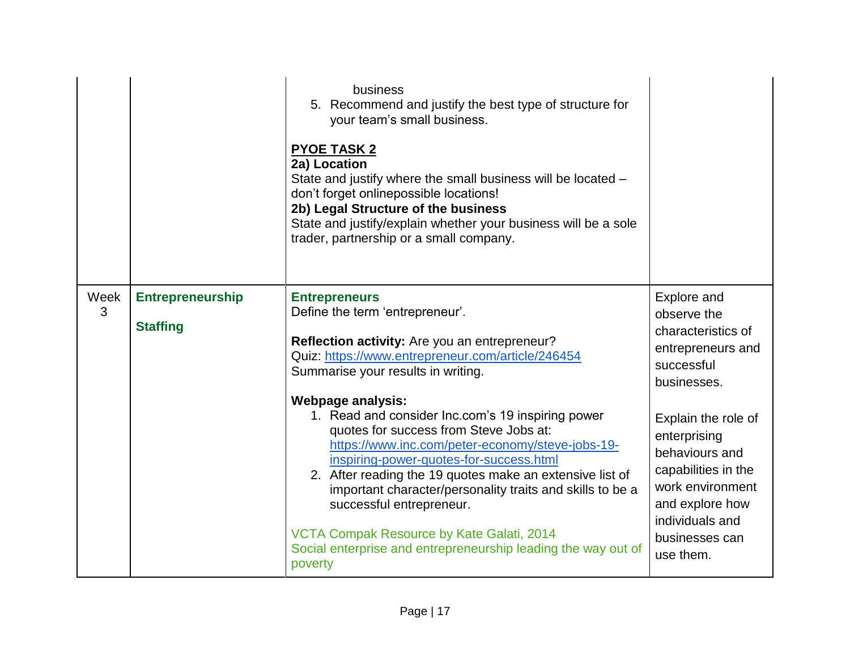|           |                                            | business<br>5. Recommend and justify the best type of structure for<br>your team's small business.<br><b>PYOE TASK 2</b><br>2a) Location<br>State and justify where the small business will be located -<br>don't forget onlinepossible locations!<br>2b) Legal Structure of the business<br>State and justify/explain whether your business will be a sole<br>trader, partnership or a small company.                                                                   |                                                                                                                                                                       |
|-----------|--------------------------------------------|--------------------------------------------------------------------------------------------------------------------------------------------------------------------------------------------------------------------------------------------------------------------------------------------------------------------------------------------------------------------------------------------------------------------------------------------------------------------------|-----------------------------------------------------------------------------------------------------------------------------------------------------------------------|
| Week<br>3 | <b>Entrepreneurship</b><br><b>Staffing</b> | <b>Entrepreneurs</b><br>Define the term 'entrepreneur'.<br>Reflection activity: Are you an entrepreneur?<br>Quiz: https://www.entrepreneur.com/article/246454<br>Summarise your results in writing.<br><b>Webpage analysis:</b>                                                                                                                                                                                                                                          | Explore and<br>observe the<br>characteristics of<br>entrepreneurs and<br>successful<br>businesses.                                                                    |
|           |                                            | 1. Read and consider Inc.com's 19 inspiring power<br>quotes for success from Steve Jobs at:<br>https://www.inc.com/peter-economy/steve-jobs-19-<br>inspiring-power-quotes-for-success.html<br>2. After reading the 19 quotes make an extensive list of<br>important character/personality traits and skills to be a<br>successful entrepreneur.<br>VCTA Compak Resource by Kate Galati, 2014<br>Social enterprise and entrepreneurship leading the way out of<br>poverty | Explain the role of<br>enterprising<br>behaviours and<br>capabilities in the<br>work environment<br>and explore how<br>individuals and<br>businesses can<br>use them. |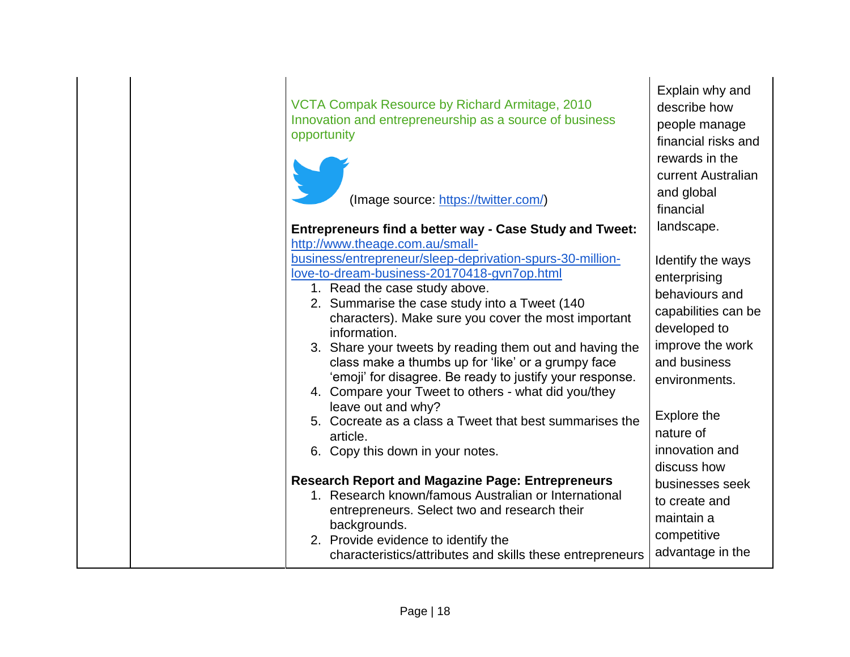| VCTA Compak Resource by Richard Armitage, 2010<br>Innovation and entrepreneurship as a source of business<br>opportunity                                                                                                                                                                                                                                                                                                                                                                                                                                                                                                               | Explain why and<br>describe how<br>people manage<br>financial risks and<br>rewards in the<br>current Australian                                                                                              |
|----------------------------------------------------------------------------------------------------------------------------------------------------------------------------------------------------------------------------------------------------------------------------------------------------------------------------------------------------------------------------------------------------------------------------------------------------------------------------------------------------------------------------------------------------------------------------------------------------------------------------------------|--------------------------------------------------------------------------------------------------------------------------------------------------------------------------------------------------------------|
| (Image source: https://twitter.com/)                                                                                                                                                                                                                                                                                                                                                                                                                                                                                                                                                                                                   | and global<br>financial                                                                                                                                                                                      |
| <b>Entrepreneurs find a better way - Case Study and Tweet:</b><br>http://www.theage.com.au/small-                                                                                                                                                                                                                                                                                                                                                                                                                                                                                                                                      | landscape.                                                                                                                                                                                                   |
| business/entrepreneur/sleep-deprivation-spurs-30-million-<br>love-to-dream-business-20170418-gvn7op.html<br>1. Read the case study above.<br>2. Summarise the case study into a Tweet (140<br>characters). Make sure you cover the most important<br>information.<br>3. Share your tweets by reading them out and having the<br>class make a thumbs up for 'like' or a grumpy face<br>'emoji' for disagree. Be ready to justify your response.<br>4. Compare your Tweet to others - what did you/they<br>leave out and why?<br>5. Cocreate as a class a Tweet that best summarises the<br>article.<br>6. Copy this down in your notes. | Identify the ways<br>enterprising<br>behaviours and<br>capabilities can be<br>developed to<br>improve the work<br>and business<br>environments.<br>Explore the<br>nature of<br>innovation and<br>discuss how |
| <b>Research Report and Magazine Page: Entrepreneurs</b><br>1. Research known/famous Australian or International<br>entrepreneurs. Select two and research their<br>backgrounds.<br>2. Provide evidence to identify the<br>characteristics/attributes and skills these entrepreneurs                                                                                                                                                                                                                                                                                                                                                    | businesses seek<br>to create and<br>maintain a<br>competitive<br>advantage in the                                                                                                                            |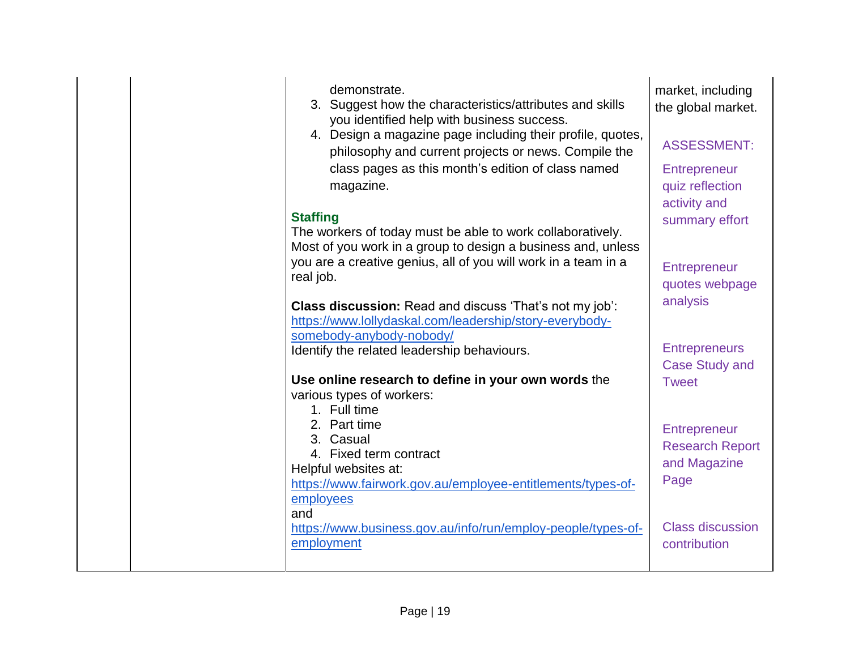| demonstrate.<br>3. Suggest how the characteristics/attributes and skills<br>you identified help with business success.<br>4. Design a magazine page including their profile, quotes,<br>philosophy and current projects or news. Compile the<br>class pages as this month's edition of class named<br>magazine.<br><b>Staffing</b><br>The workers of today must be able to work collaboratively. | market, including<br>the global market.<br><b>ASSESSMENT:</b><br><b>Entrepreneur</b><br>quiz reflection<br>activity and<br>summary effort |
|--------------------------------------------------------------------------------------------------------------------------------------------------------------------------------------------------------------------------------------------------------------------------------------------------------------------------------------------------------------------------------------------------|-------------------------------------------------------------------------------------------------------------------------------------------|
| Most of you work in a group to design a business and, unless<br>you are a creative genius, all of you will work in a team in a<br>real job.<br>Class discussion: Read and discuss 'That's not my job':<br>https://www.lollydaskal.com/leadership/story-everybody-                                                                                                                                | Entrepreneur<br>quotes webpage<br>analysis                                                                                                |
| somebody-anybody-nobody/<br>Identify the related leadership behaviours.                                                                                                                                                                                                                                                                                                                          | <b>Entrepreneurs</b><br><b>Case Study and</b>                                                                                             |
| Use online research to define in your own words the<br>various types of workers:<br>1. Full time                                                                                                                                                                                                                                                                                                 | <b>Tweet</b>                                                                                                                              |
| 2. Part time<br>3. Casual<br>4. Fixed term contract<br>Helpful websites at:<br>https://www.fairwork.gov.au/employee-entitlements/types-of-<br>employees                                                                                                                                                                                                                                          | Entrepreneur<br><b>Research Report</b><br>and Magazine<br>Page                                                                            |
| and<br>https://www.business.gov.au/info/run/employ-people/types-of-<br>employment                                                                                                                                                                                                                                                                                                                | <b>Class discussion</b><br>contribution                                                                                                   |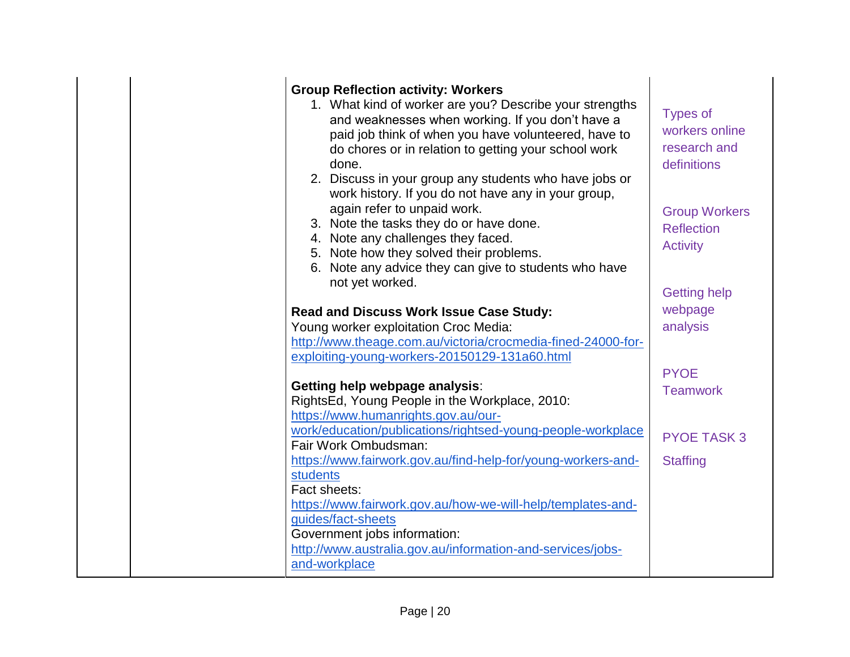| <b>Group Reflection activity: Workers</b><br>1. What kind of worker are you? Describe your strengths<br>and weaknesses when working. If you don't have a<br>paid job think of when you have volunteered, have to<br>do chores or in relation to getting your school work<br>done.<br>2. Discuss in your group any students who have jobs or<br>work history. If you do not have any in your group,<br>again refer to unpaid work.<br>3. Note the tasks they do or have done.<br>4. Note any challenges they faced.<br>5. Note how they solved their problems.<br>6. Note any advice they can give to students who have<br>not yet worked. | <b>Types of</b><br>workers online<br>research and<br>definitions<br><b>Group Workers</b><br><b>Reflection</b><br><b>Activity</b> |
|-------------------------------------------------------------------------------------------------------------------------------------------------------------------------------------------------------------------------------------------------------------------------------------------------------------------------------------------------------------------------------------------------------------------------------------------------------------------------------------------------------------------------------------------------------------------------------------------------------------------------------------------|----------------------------------------------------------------------------------------------------------------------------------|
|                                                                                                                                                                                                                                                                                                                                                                                                                                                                                                                                                                                                                                           | <b>Getting help</b>                                                                                                              |
| Read and Discuss Work Issue Case Study:<br>Young worker exploitation Croc Media:<br>http://www.theage.com.au/victoria/crocmedia-fined-24000-for-<br>exploiting-young-workers-20150129-131a60.html<br>Getting help webpage analysis:                                                                                                                                                                                                                                                                                                                                                                                                       | webpage<br>analysis<br><b>PYOE</b>                                                                                               |
| RightsEd, Young People in the Workplace, 2010:<br>https://www.humanrights.gov.au/our-                                                                                                                                                                                                                                                                                                                                                                                                                                                                                                                                                     | <b>Teamwork</b>                                                                                                                  |
| work/education/publications/rightsed-young-people-workplace<br>Fair Work Ombudsman:                                                                                                                                                                                                                                                                                                                                                                                                                                                                                                                                                       | <b>PYOE TASK 3</b>                                                                                                               |
| https://www.fairwork.gov.au/find-help-for/young-workers-and-<br><b>students</b><br>Fact sheets:<br>https://www.fairwork.gov.au/how-we-will-help/templates-and-<br>guides/fact-sheets                                                                                                                                                                                                                                                                                                                                                                                                                                                      | <b>Staffing</b>                                                                                                                  |
| Government jobs information:<br>http://www.australia.gov.au/information-and-services/jobs-<br>and-workplace                                                                                                                                                                                                                                                                                                                                                                                                                                                                                                                               |                                                                                                                                  |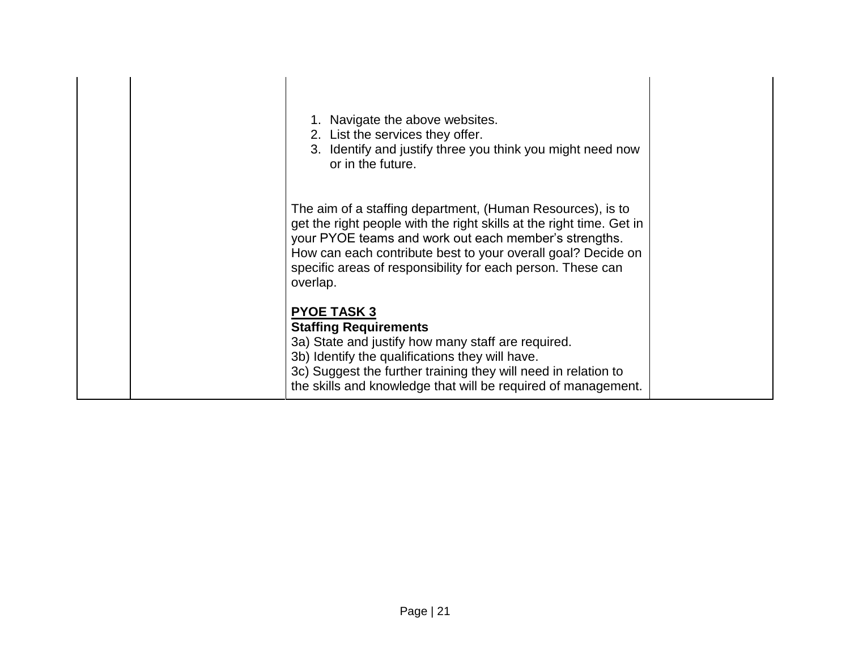| 1. Navigate the above websites.<br>2. List the services they offer.<br>3. Identify and justify three you think you might need now<br>or in the future.                                                                                                                                                                                 |
|----------------------------------------------------------------------------------------------------------------------------------------------------------------------------------------------------------------------------------------------------------------------------------------------------------------------------------------|
| The aim of a staffing department, (Human Resources), is to<br>get the right people with the right skills at the right time. Get in<br>your PYOE teams and work out each member's strengths.<br>How can each contribute best to your overall goal? Decide on<br>specific areas of responsibility for each person. These can<br>overlap. |
| <b>PYOE TASK 3</b><br><b>Staffing Requirements</b><br>3a) State and justify how many staff are required.<br>3b) Identify the qualifications they will have.<br>3c) Suggest the further training they will need in relation to<br>the skills and knowledge that will be required of management.                                         |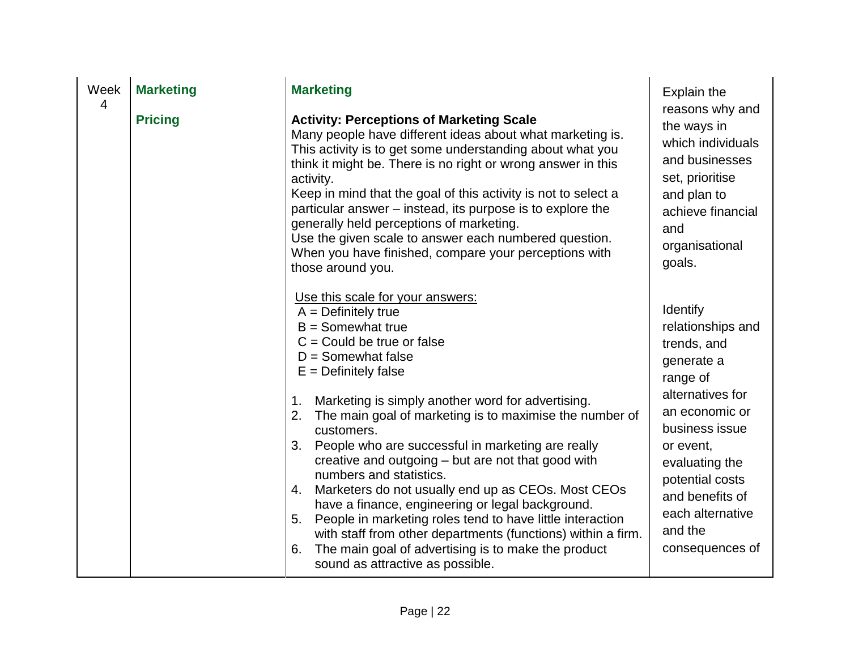| Week | <b>Marketing</b> | <b>Marketing</b>                                                                                                                                                                                                                                                                                                                                                                                                                                                                                                                                                                                                                                                                                                                                                                                                         | <b>Explain the</b>                                                                                                                                                                                                                                    |
|------|------------------|--------------------------------------------------------------------------------------------------------------------------------------------------------------------------------------------------------------------------------------------------------------------------------------------------------------------------------------------------------------------------------------------------------------------------------------------------------------------------------------------------------------------------------------------------------------------------------------------------------------------------------------------------------------------------------------------------------------------------------------------------------------------------------------------------------------------------|-------------------------------------------------------------------------------------------------------------------------------------------------------------------------------------------------------------------------------------------------------|
| 4    | <b>Pricing</b>   | <b>Activity: Perceptions of Marketing Scale</b><br>Many people have different ideas about what marketing is.<br>This activity is to get some understanding about what you<br>think it might be. There is no right or wrong answer in this<br>activity.<br>Keep in mind that the goal of this activity is not to select a<br>particular answer – instead, its purpose is to explore the<br>generally held perceptions of marketing.<br>Use the given scale to answer each numbered question.<br>When you have finished, compare your perceptions with<br>those around you.                                                                                                                                                                                                                                                | reasons why and<br>the ways in<br>which individuals<br>and businesses<br>set, prioritise<br>and plan to<br>achieve financial<br>and<br>organisational<br>goals.                                                                                       |
|      |                  | Use this scale for your answers:<br>$A = Definitely true$<br>$B =$ Somewhat true<br>$C =$ Could be true or false<br>$D =$ Somewhat false<br>$E =$ Definitely false<br>Marketing is simply another word for advertising.<br>1 <sub>1</sub><br>2.<br>The main goal of marketing is to maximise the number of<br>customers.<br>People who are successful in marketing are really<br>3.<br>creative and outgoing - but are not that good with<br>numbers and statistics.<br>Marketers do not usually end up as CEOs. Most CEOs<br>4.<br>have a finance, engineering or legal background.<br>People in marketing roles tend to have little interaction<br>5.<br>with staff from other departments (functions) within a firm.<br>The main goal of advertising is to make the product<br>6.<br>sound as attractive as possible. | Identify<br>relationships and<br>trends, and<br>generate a<br>range of<br>alternatives for<br>an economic or<br>business issue<br>or event,<br>evaluating the<br>potential costs<br>and benefits of<br>each alternative<br>and the<br>consequences of |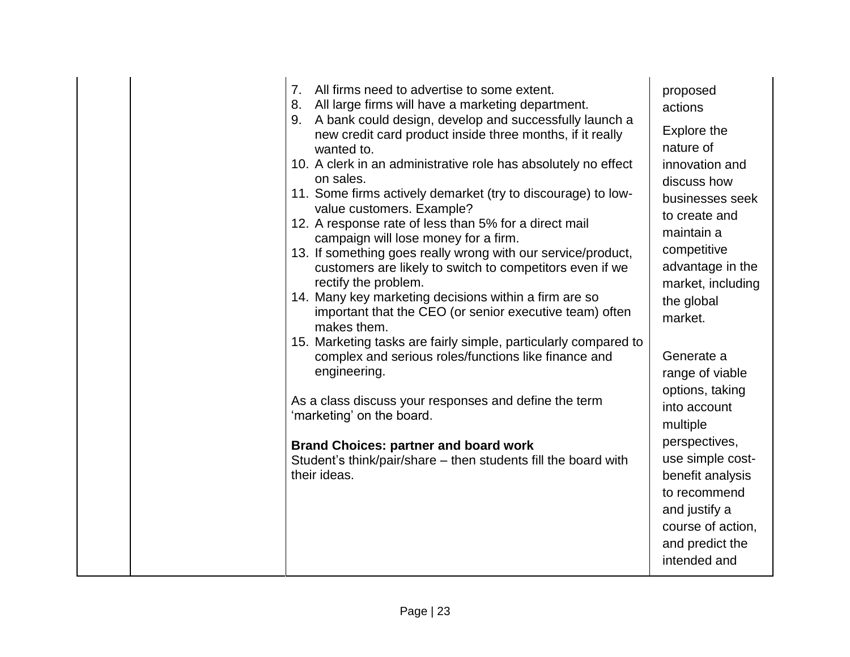|  | 7.<br>All firms need to advertise to some extent.<br>All large firms will have a marketing department.<br>8.<br>9. A bank could design, develop and successfully launch a<br>new credit card product inside three months, if it really<br>wanted to.<br>10. A clerk in an administrative role has absolutely no effect<br>on sales.<br>11. Some firms actively demarket (try to discourage) to low-<br>value customers. Example?<br>12. A response rate of less than 5% for a direct mail<br>campaign will lose money for a firm.<br>13. If something goes really wrong with our service/product,<br>customers are likely to switch to competitors even if we<br>rectify the problem.<br>14. Many key marketing decisions within a firm are so<br>important that the CEO (or senior executive team) often<br>makes them.<br>15. Marketing tasks are fairly simple, particularly compared to<br>complex and serious roles/functions like finance and<br>engineering.<br>As a class discuss your responses and define the term<br>'marketing' on the board.<br><b>Brand Choices: partner and board work</b><br>Student's think/pair/share - then students fill the board with<br>their ideas. | proposed<br>actions<br><b>Explore the</b><br>nature of<br>innovation and<br>discuss how<br>businesses seek<br>to create and<br>maintain a<br>competitive<br>advantage in the<br>market, including<br>the global<br>market.<br>Generate a<br>range of viable<br>options, taking<br>into account<br>multiple<br>perspectives,<br>use simple cost-<br>benefit analysis<br>to recommend<br>and justify a<br>course of action,<br>and predict the<br>intended and |
|--|---------------------------------------------------------------------------------------------------------------------------------------------------------------------------------------------------------------------------------------------------------------------------------------------------------------------------------------------------------------------------------------------------------------------------------------------------------------------------------------------------------------------------------------------------------------------------------------------------------------------------------------------------------------------------------------------------------------------------------------------------------------------------------------------------------------------------------------------------------------------------------------------------------------------------------------------------------------------------------------------------------------------------------------------------------------------------------------------------------------------------------------------------------------------------------------------|--------------------------------------------------------------------------------------------------------------------------------------------------------------------------------------------------------------------------------------------------------------------------------------------------------------------------------------------------------------------------------------------------------------------------------------------------------------|
|--|---------------------------------------------------------------------------------------------------------------------------------------------------------------------------------------------------------------------------------------------------------------------------------------------------------------------------------------------------------------------------------------------------------------------------------------------------------------------------------------------------------------------------------------------------------------------------------------------------------------------------------------------------------------------------------------------------------------------------------------------------------------------------------------------------------------------------------------------------------------------------------------------------------------------------------------------------------------------------------------------------------------------------------------------------------------------------------------------------------------------------------------------------------------------------------------------|--------------------------------------------------------------------------------------------------------------------------------------------------------------------------------------------------------------------------------------------------------------------------------------------------------------------------------------------------------------------------------------------------------------------------------------------------------------|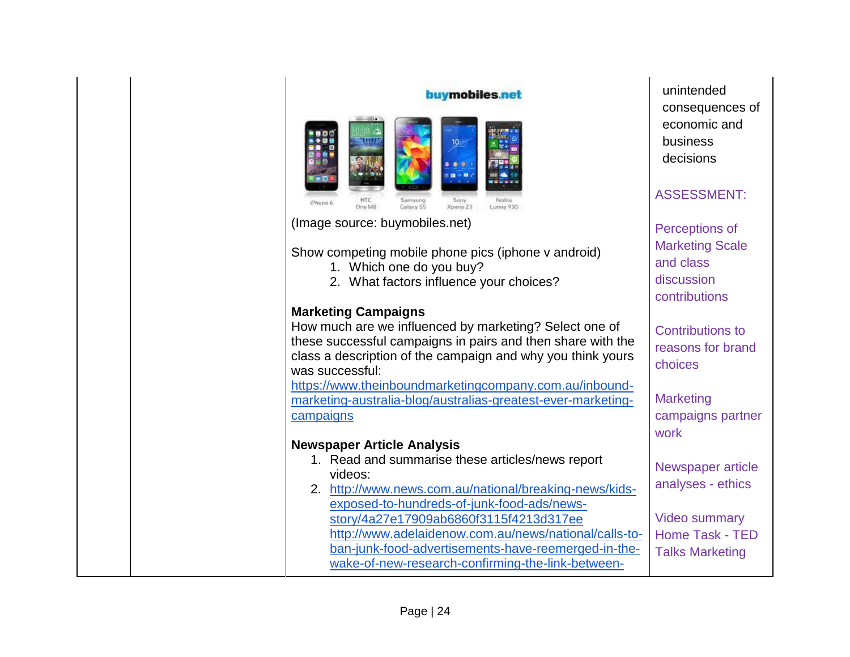| buymobiles.net<br>10 -<br>Sorry<br>Phone 6<br>Galaxy SS<br>Xperio 23<br>One MB<br>Lumia 930                                                                                                                 | unintended<br>consequences of<br>economic and<br>business<br>decisions<br><b>ASSESSMENT:</b> |
|-------------------------------------------------------------------------------------------------------------------------------------------------------------------------------------------------------------|----------------------------------------------------------------------------------------------|
| (Image source: buymobiles.net)                                                                                                                                                                              | Perceptions of                                                                               |
| Show competing mobile phone pics (iphone v android)<br>1. Which one do you buy?<br>2. What factors influence your choices?                                                                                  | <b>Marketing Scale</b><br>and class<br>discussion<br>contributions                           |
| <b>Marketing Campaigns</b>                                                                                                                                                                                  |                                                                                              |
| How much are we influenced by marketing? Select one of<br>these successful campaigns in pairs and then share with the<br>class a description of the campaign and why you think yours<br>was successful:     | <b>Contributions to</b><br>reasons for brand<br>choices                                      |
| https://www.theinboundmarketingcompany.com.au/inbound-<br>marketing-australia-blog/australias-greatest-ever-marketing-<br>campaigns                                                                         | <b>Marketing</b><br>campaigns partner<br>work                                                |
| <b>Newspaper Article Analysis</b>                                                                                                                                                                           |                                                                                              |
| 1. Read and summarise these articles/news report<br>videos:<br>2. http://www.news.com.au/national/breaking-news/kids-<br>exposed-to-hundreds-of-junk-food-ads/news-                                         | Newspaper article<br>analyses - ethics                                                       |
| story/4a27e17909ab6860f3115f4213d317ee<br>http://www.adelaidenow.com.au/news/national/calls-to-<br>ban-junk-food-advertisements-have-reemerged-in-the-<br>wake-of-new-research-confirming-the-link-between- | <b>Video summary</b><br><b>Home Task - TED</b><br><b>Talks Marketing</b>                     |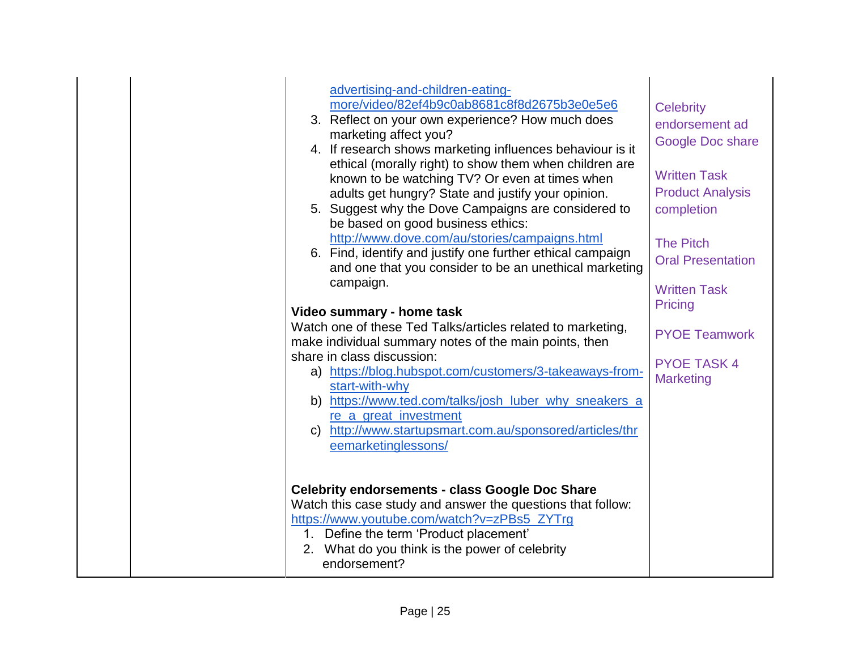|  | advertising-and-children-eating-<br>more/video/82ef4b9c0ab8681c8f8d2675b3e0e5e6<br>3. Reflect on your own experience? How much does<br>marketing affect you?<br>4. If research shows marketing influences behaviour is it<br>ethical (morally right) to show them when children are<br>known to be watching TV? Or even at times when<br>adults get hungry? State and justify your opinion.<br>5. Suggest why the Dove Campaigns are considered to<br>be based on good business ethics:<br>http://www.dove.com/au/stories/campaigns.html<br>6. Find, identify and justify one further ethical campaign<br>and one that you consider to be an unethical marketing<br>campaign.<br>Video summary - home task<br>Watch one of these Ted Talks/articles related to marketing,<br>make individual summary notes of the main points, then<br>share in class discussion:<br>a) https://blog.hubspot.com/customers/3-takeaways-from-<br>start-with-why<br>b) https://www.ted.com/talks/josh_luber_why_sneakers_a<br>re a great investment<br>c) http://www.startupsmart.com.au/sponsored/articles/thr<br>eemarketinglessons/ | <b>Celebrity</b><br>endorsement ad<br>Google Doc share<br><b>Written Task</b><br><b>Product Analysis</b><br>completion<br><b>The Pitch</b><br><b>Oral Presentation</b><br><b>Written Task</b><br>Pricing<br><b>PYOE Teamwork</b><br><b>PYOE TASK 4</b><br><b>Marketing</b> |
|--|----------------------------------------------------------------------------------------------------------------------------------------------------------------------------------------------------------------------------------------------------------------------------------------------------------------------------------------------------------------------------------------------------------------------------------------------------------------------------------------------------------------------------------------------------------------------------------------------------------------------------------------------------------------------------------------------------------------------------------------------------------------------------------------------------------------------------------------------------------------------------------------------------------------------------------------------------------------------------------------------------------------------------------------------------------------------------------------------------------------------|----------------------------------------------------------------------------------------------------------------------------------------------------------------------------------------------------------------------------------------------------------------------------|
|  | <b>Celebrity endorsements - class Google Doc Share</b><br>Watch this case study and answer the questions that follow:<br>https://www.youtube.com/watch?v=zPBs5_ZYTrg<br>1. Define the term 'Product placement'<br>2. What do you think is the power of celebrity<br>endorsement?                                                                                                                                                                                                                                                                                                                                                                                                                                                                                                                                                                                                                                                                                                                                                                                                                                     |                                                                                                                                                                                                                                                                            |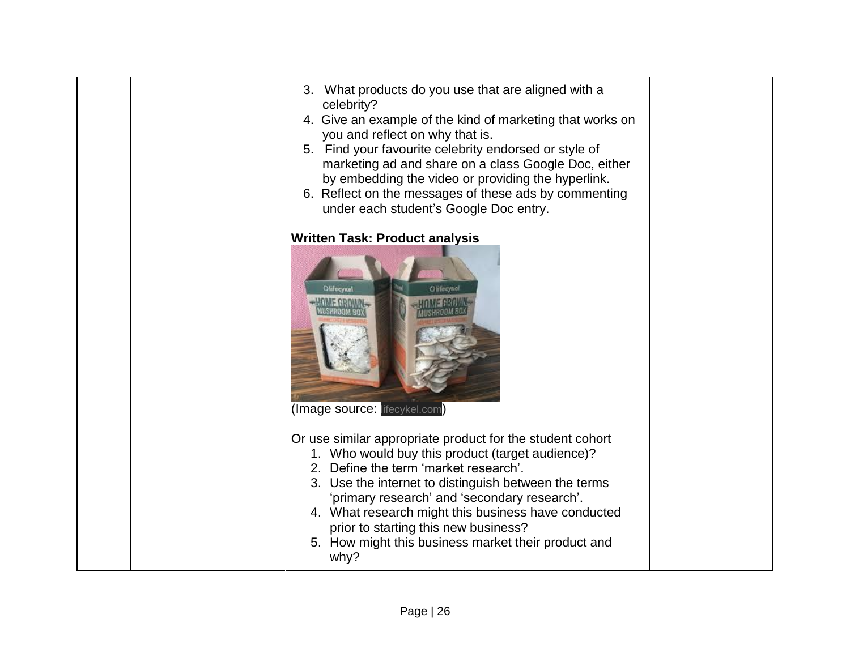| 3. What products do you use that are aligned with a |
|-----------------------------------------------------|
| celebrity?                                          |

- 4. Give an example of the kind of marketing that works on you and reflect on why that is.
- 5. Find your favourite celebrity endorsed or style of marketing ad and share on a class Google Doc, either by embedding the video or providing the hyperlink.
- 6. Reflect on the messages of these ads by commenting under each student's Google Doc entry.

# **Written Task: Product analysis**



(Image source: [lifecykel.com](https://lifecykel.com/))

Or use similar appropriate product for the student cohort

- 1. Who would buy this product (target audience)?
- 2. Define the term 'market research'.
- 3. Use the internet to distinguish between the terms 'primary research' and 'secondary research'.
- 4. What research might this business have conducted prior to starting this new business?
- 5. How might this business market their product and why?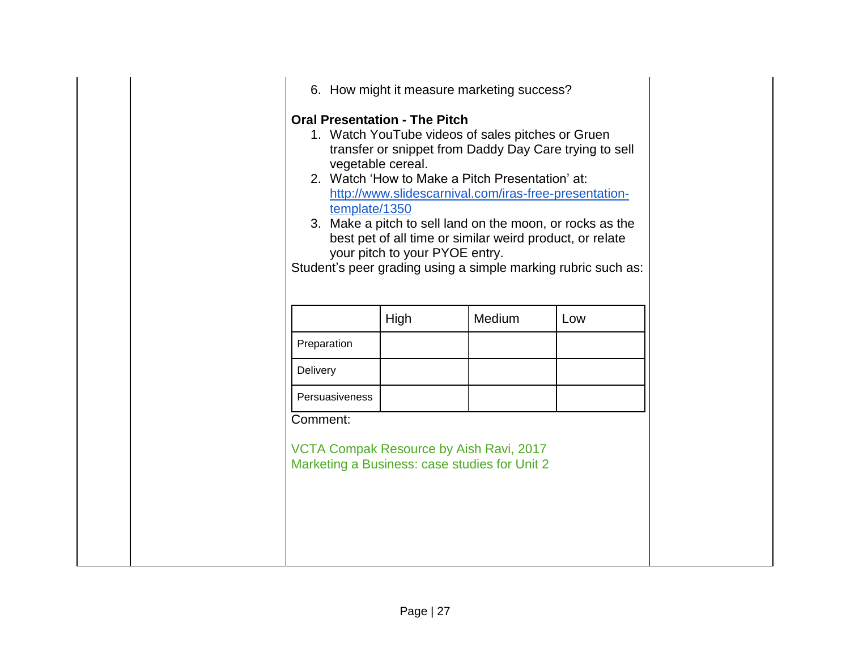| <b>Oral Presentation - The Pitch</b><br>template/1350                                                | vegetable cereal.<br>your pitch to your PYOE entry. | 6. How might it measure marketing success?<br>1. Watch YouTube videos of sales pitches or Gruen<br>2. Watch 'How to Make a Pitch Presentation' at: | transfer or snippet from Daddy Day Care trying to sell<br>http://www.slidescarnival.com/iras-free-presentation-<br>3. Make a pitch to sell land on the moon, or rocks as the<br>best pet of all time or similar weird product, or relate<br>Student's peer grading using a simple marking rubric such as: |
|------------------------------------------------------------------------------------------------------|-----------------------------------------------------|----------------------------------------------------------------------------------------------------------------------------------------------------|-----------------------------------------------------------------------------------------------------------------------------------------------------------------------------------------------------------------------------------------------------------------------------------------------------------|
|                                                                                                      | High                                                | Medium                                                                                                                                             | Low                                                                                                                                                                                                                                                                                                       |
| Preparation                                                                                          |                                                     |                                                                                                                                                    |                                                                                                                                                                                                                                                                                                           |
| Delivery                                                                                             |                                                     |                                                                                                                                                    |                                                                                                                                                                                                                                                                                                           |
| Persuasiveness                                                                                       |                                                     |                                                                                                                                                    |                                                                                                                                                                                                                                                                                                           |
| Comment:<br>VCTA Compak Resource by Aish Ravi, 2017<br>Marketing a Business: case studies for Unit 2 |                                                     |                                                                                                                                                    |                                                                                                                                                                                                                                                                                                           |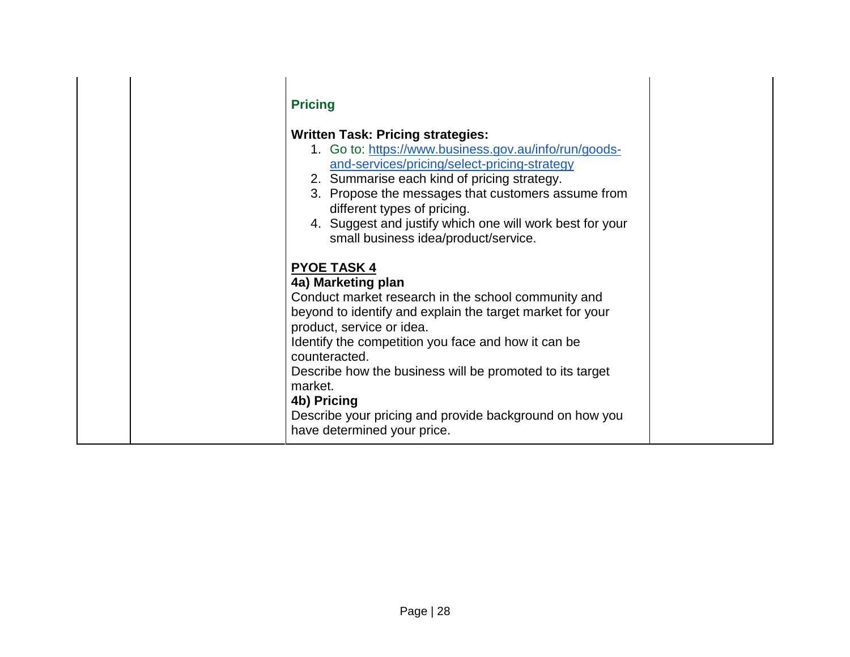| <b>Pricing</b><br><b>Written Task: Pricing strategies:</b><br>1. Go to: https://www.business.gov.au/info/run/goods-<br>and-services/pricing/select-pricing-strategy<br>2. Summarise each kind of pricing strategy.<br>3. Propose the messages that customers assume from<br>different types of pricing.<br>4. Suggest and justify which one will work best for your<br>small business idea/product/service.<br><b>PYOE TASK 4</b><br>4a) Marketing plan<br>Conduct market research in the school community and<br>beyond to identify and explain the target market for your<br>product, service or idea.<br>Identify the competition you face and how it can be |  |
|-----------------------------------------------------------------------------------------------------------------------------------------------------------------------------------------------------------------------------------------------------------------------------------------------------------------------------------------------------------------------------------------------------------------------------------------------------------------------------------------------------------------------------------------------------------------------------------------------------------------------------------------------------------------|--|
| counteracted.<br>Describe how the business will be promoted to its target<br>market.<br>4b) Pricing<br>Describe your pricing and provide background on how you<br>have determined your price.                                                                                                                                                                                                                                                                                                                                                                                                                                                                   |  |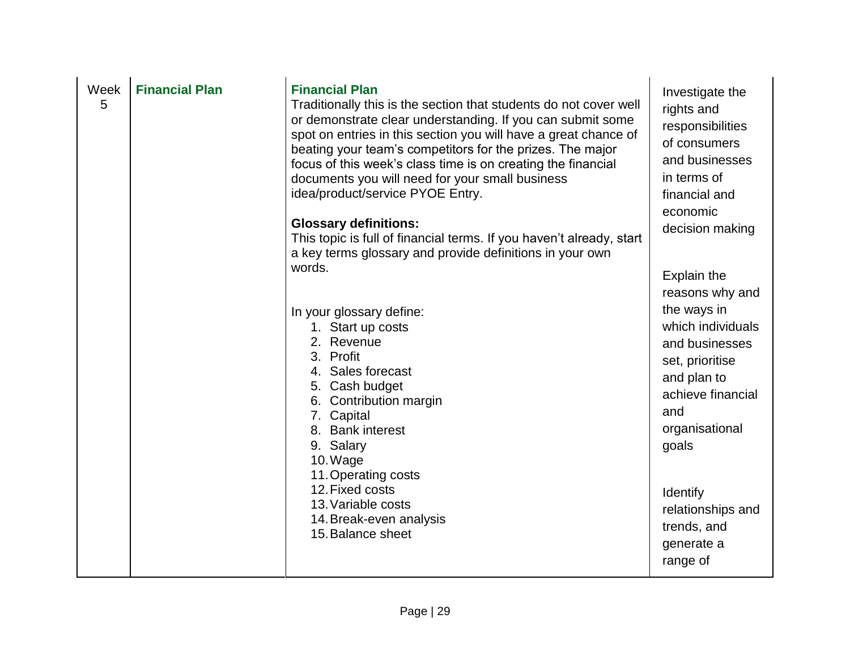| Week<br>5 | <b>Financial Plan</b> | <b>Financial Plan</b><br>Traditionally this is the section that students do not cover well<br>or demonstrate clear understanding. If you can submit some<br>spot on entries in this section you will have a great chance of<br>beating your team's competitors for the prizes. The major<br>focus of this week's class time is on creating the financial<br>documents you will need for your small business<br>idea/product/service PYOE Entry.<br><b>Glossary definitions:</b><br>This topic is full of financial terms. If you haven't already, start<br>a key terms glossary and provide definitions in your own<br>words.<br>In your glossary define:<br>1. Start up costs<br>2. Revenue<br>3. Profit<br>4. Sales forecast<br>5. Cash budget<br>6. Contribution margin<br>7. Capital<br>8. Bank interest<br>9. Salary<br>10. Wage<br>11. Operating costs<br>12. Fixed costs<br>13. Variable costs<br>14. Break-even analysis<br>15. Balance sheet | Investigate the<br>rights and<br>responsibilities<br>of consumers<br>and businesses<br>in terms of<br>financial and<br>economic<br>decision making<br>Explain the<br>reasons why and<br>the ways in<br>which individuals<br>and businesses<br>set, prioritise<br>and plan to<br>achieve financial<br>and<br>organisational<br>goals<br>Identify<br>relationships and<br>trends, and<br>generate a<br>range of |
|-----------|-----------------------|-------------------------------------------------------------------------------------------------------------------------------------------------------------------------------------------------------------------------------------------------------------------------------------------------------------------------------------------------------------------------------------------------------------------------------------------------------------------------------------------------------------------------------------------------------------------------------------------------------------------------------------------------------------------------------------------------------------------------------------------------------------------------------------------------------------------------------------------------------------------------------------------------------------------------------------------------------|---------------------------------------------------------------------------------------------------------------------------------------------------------------------------------------------------------------------------------------------------------------------------------------------------------------------------------------------------------------------------------------------------------------|
|-----------|-----------------------|-------------------------------------------------------------------------------------------------------------------------------------------------------------------------------------------------------------------------------------------------------------------------------------------------------------------------------------------------------------------------------------------------------------------------------------------------------------------------------------------------------------------------------------------------------------------------------------------------------------------------------------------------------------------------------------------------------------------------------------------------------------------------------------------------------------------------------------------------------------------------------------------------------------------------------------------------------|---------------------------------------------------------------------------------------------------------------------------------------------------------------------------------------------------------------------------------------------------------------------------------------------------------------------------------------------------------------------------------------------------------------|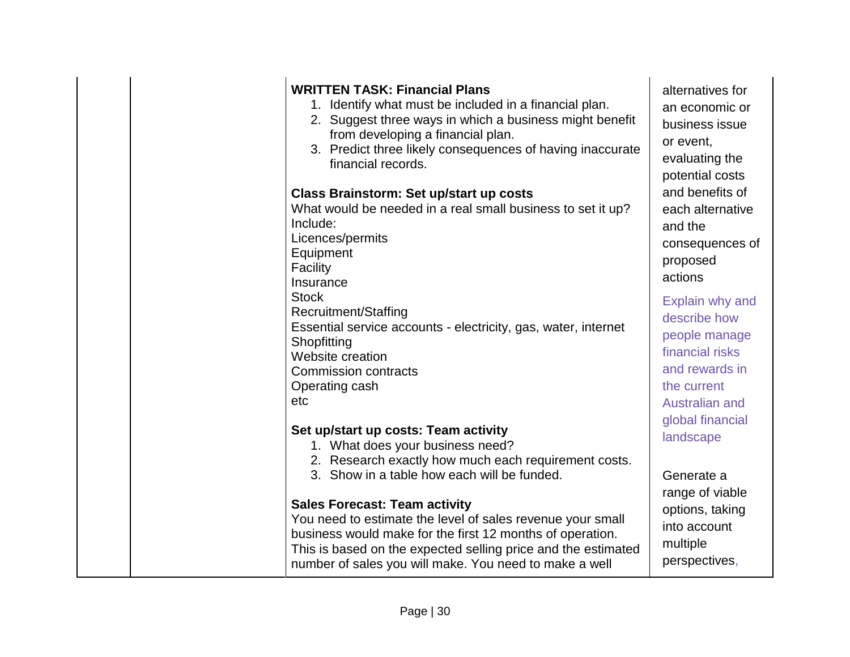| <b>WRITTEN TASK: Financial Plans</b><br>1. Identify what must be included in a financial plan.<br>2. Suggest three ways in which a business might benefit<br>from developing a financial plan.<br>3. Predict three likely consequences of having inaccurate<br>financial records.<br><b>Class Brainstorm: Set up/start up costs</b><br>What would be needed in a real small business to set it up?<br>Include:<br>Licences/permits<br>Equipment<br>Facility                   | alternatives for<br>an economic or<br>business issue<br>or event,<br>evaluating the<br>potential costs<br>and benefits of<br>each alternative<br>and the<br>consequences of<br>proposed<br>actions |
|-------------------------------------------------------------------------------------------------------------------------------------------------------------------------------------------------------------------------------------------------------------------------------------------------------------------------------------------------------------------------------------------------------------------------------------------------------------------------------|----------------------------------------------------------------------------------------------------------------------------------------------------------------------------------------------------|
| Insurance<br><b>Stock</b><br><b>Recruitment/Staffing</b><br>Essential service accounts - electricity, gas, water, internet<br>Shopfitting<br>Website creation<br><b>Commission contracts</b><br>Operating cash<br>etc                                                                                                                                                                                                                                                         | Explain why and<br>describe how<br>people manage<br>financial risks<br>and rewards in<br>the current<br>Australian and                                                                             |
| Set up/start up costs: Team activity<br>1. What does your business need?<br>2. Research exactly how much each requirement costs.<br>3. Show in a table how each will be funded.<br><b>Sales Forecast: Team activity</b><br>You need to estimate the level of sales revenue your small<br>business would make for the first 12 months of operation.<br>This is based on the expected selling price and the estimated<br>number of sales you will make. You need to make a well | global financial<br>landscape<br>Generate a<br>range of viable<br>options, taking<br>into account<br>multiple<br>perspectives,                                                                     |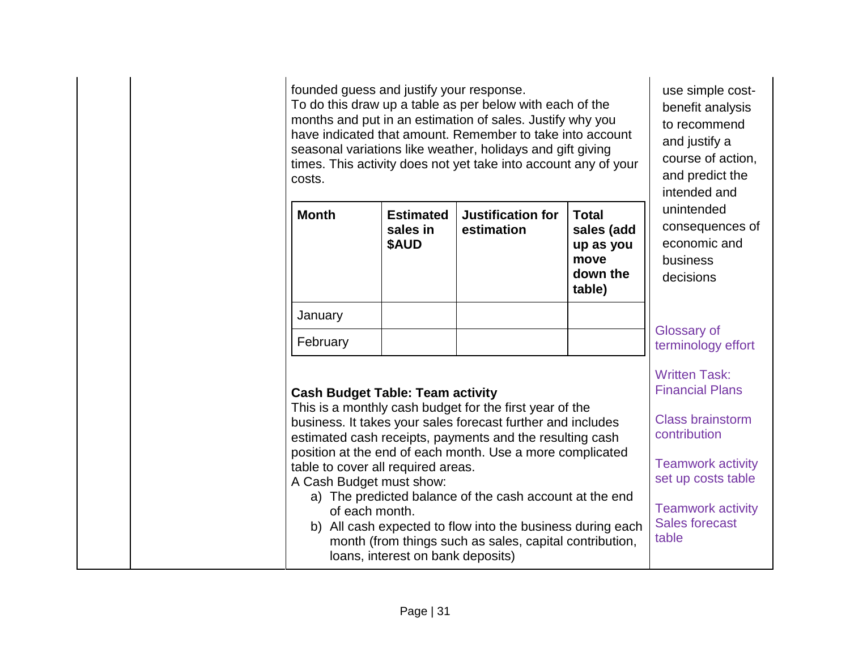founded guess and justify your response. To do this draw up a table as per below with each of the months and put in an estimation of sales. Justify why you have indicated that amount. Remember to take into account seasonal variations like weather, holidays and gift giving times. This activity does not yet take into account any of your costs.

| <b>Month</b>                                                                                                                                                                            | <b>Estimated</b><br>sales in<br><b>SAUD</b> | <b>Justification for</b><br>estimation                                                                                 | <b>Total</b><br>sales (add<br>up as you<br>move<br>down the<br>table) | unintended<br>consequences of<br>economic and<br>business<br>decisions    |
|-----------------------------------------------------------------------------------------------------------------------------------------------------------------------------------------|---------------------------------------------|------------------------------------------------------------------------------------------------------------------------|-----------------------------------------------------------------------|---------------------------------------------------------------------------|
| January                                                                                                                                                                                 |                                             |                                                                                                                        |                                                                       |                                                                           |
| February                                                                                                                                                                                |                                             |                                                                                                                        |                                                                       | Glossary of<br>terminology effort                                         |
| <b>Cash Budget Table: Team activity</b>                                                                                                                                                 |                                             | This is a monthly cash budget for the first year of the<br>business. It takes your sales forecast further and includes |                                                                       | <b>Written Task:</b><br><b>Financial Plans</b><br><b>Class brainstorm</b> |
| estimated cash receipts, payments and the resulting cash<br>position at the end of each month. Use a more complicated<br>table to cover all required areas.<br>A Cach Rudget must show: |                                             |                                                                                                                        |                                                                       | contribution<br><b>Teamwork activity</b><br>set up costs table            |

use simple costbenefit analysis to recommend and justify a

course of action, and predict the intended and

A Cash Budget must show:

- a) The predicted balance of the cash account at the end of each month. Teamwork activity
- b) All cash expected to flow into the business during each month (from things such as sales, capital contribution, loans, interest on bank deposits) Sales forecast table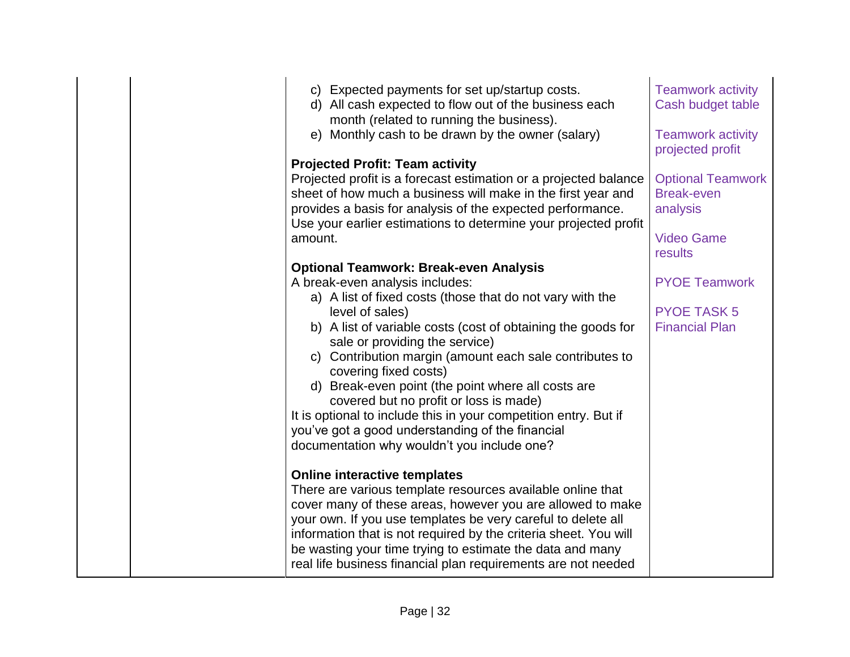| c) Expected payments for set up/startup costs.                                                                             | <b>Teamwork activity</b> |
|----------------------------------------------------------------------------------------------------------------------------|--------------------------|
| d) All cash expected to flow out of the business each                                                                      | Cash budget table        |
| month (related to running the business).                                                                                   |                          |
| e) Monthly cash to be drawn by the owner (salary)                                                                          | <b>Teamwork activity</b> |
|                                                                                                                            | projected profit         |
| <b>Projected Profit: Team activity</b>                                                                                     |                          |
| Projected profit is a forecast estimation or a projected balance                                                           | <b>Optional Teamwork</b> |
| sheet of how much a business will make in the first year and                                                               | <b>Break-even</b>        |
| provides a basis for analysis of the expected performance.                                                                 | analysis                 |
| Use your earlier estimations to determine your projected profit                                                            |                          |
| amount.                                                                                                                    | <b>Video Game</b>        |
|                                                                                                                            | results                  |
| <b>Optional Teamwork: Break-even Analysis</b>                                                                              |                          |
| A break-even analysis includes:                                                                                            | <b>PYOE Teamwork</b>     |
| a) A list of fixed costs (those that do not vary with the                                                                  |                          |
| level of sales)                                                                                                            | <b>PYOE TASK 5</b>       |
| b) A list of variable costs (cost of obtaining the goods for                                                               | <b>Financial Plan</b>    |
| sale or providing the service)                                                                                             |                          |
| c) Contribution margin (amount each sale contributes to                                                                    |                          |
| covering fixed costs)                                                                                                      |                          |
| d) Break-even point (the point where all costs are                                                                         |                          |
| covered but no profit or loss is made)                                                                                     |                          |
| It is optional to include this in your competition entry. But if                                                           |                          |
| you've got a good understanding of the financial                                                                           |                          |
| documentation why wouldn't you include one?                                                                                |                          |
|                                                                                                                            |                          |
| <b>Online interactive templates</b>                                                                                        |                          |
| There are various template resources available online that                                                                 |                          |
| cover many of these areas, however you are allowed to make                                                                 |                          |
| your own. If you use templates be very careful to delete all                                                               |                          |
| information that is not required by the criteria sheet. You will                                                           |                          |
| be wasting your time trying to estimate the data and many<br>real life business financial plan requirements are not needed |                          |
|                                                                                                                            |                          |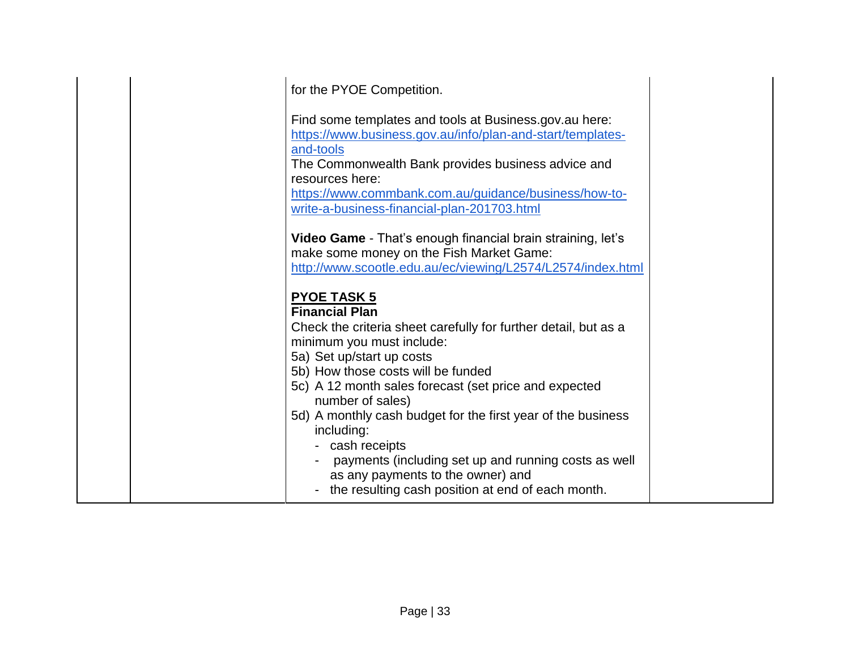| for the PYOE Competition.                                                                                                                                                                                                                                                                                          |  |
|--------------------------------------------------------------------------------------------------------------------------------------------------------------------------------------------------------------------------------------------------------------------------------------------------------------------|--|
| Find some templates and tools at Business.gov.au here:<br>https://www.business.gov.au/info/plan-and-start/templates-<br>and-tools<br>The Commonwealth Bank provides business advice and<br>resources here:<br>https://www.commbank.com.au/guidance/business/how-to-<br>write-a-business-financial-plan-201703.html |  |
| Video Game - That's enough financial brain straining, let's<br>make some money on the Fish Market Game:<br>http://www.scootle.edu.au/ec/viewing/L2574/L2574/index.html                                                                                                                                             |  |
| <b>PYOE TASK 5</b><br><b>Financial Plan</b>                                                                                                                                                                                                                                                                        |  |
| Check the criteria sheet carefully for further detail, but as a<br>minimum you must include:                                                                                                                                                                                                                       |  |
| 5a) Set up/start up costs<br>5b) How those costs will be funded                                                                                                                                                                                                                                                    |  |
| 5c) A 12 month sales forecast (set price and expected<br>number of sales)                                                                                                                                                                                                                                          |  |
| 5d) A monthly cash budget for the first year of the business<br>including:<br>cash receipts<br>payments (including set up and running costs as well<br>as any payments to the owner) and<br>the resulting cash position at end of each month.                                                                      |  |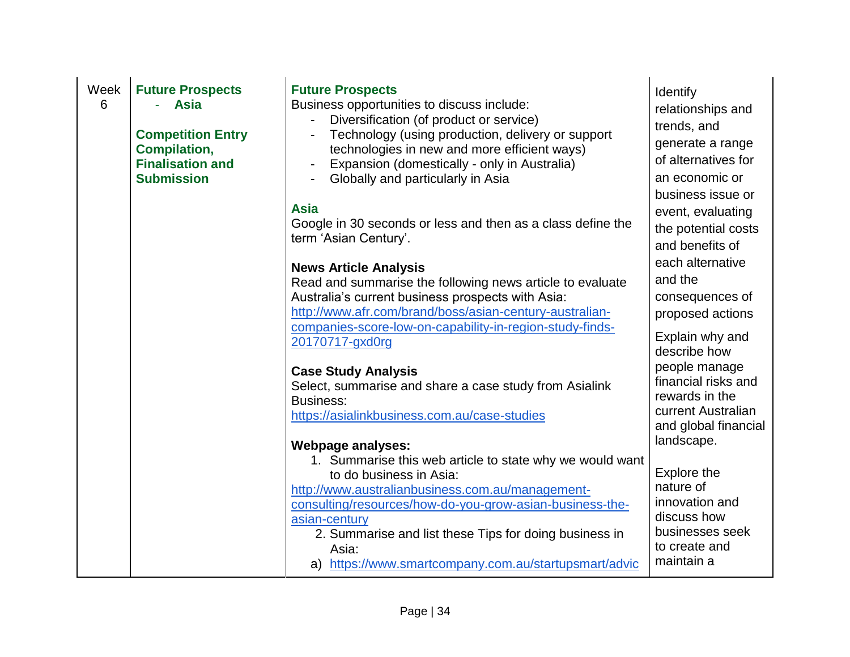| Week<br>6 | <b>Future Prospects</b><br><b>Asia</b><br><b>Competition Entry</b><br><b>Compilation,</b><br><b>Finalisation and</b><br><b>Submission</b> | <b>Future Prospects</b><br>Business opportunities to discuss include:<br>Diversification (of product or service)<br>Technology (using production, delivery or support<br>technologies in new and more efficient ways)<br>Expansion (domestically - only in Australia)<br>$\blacksquare$<br>Globally and particularly in Asia<br><b>Asia</b><br>Google in 30 seconds or less and then as a class define the<br>term 'Asian Century'.<br><b>News Article Analysis</b><br>Read and summarise the following news article to evaluate<br>Australia's current business prospects with Asia:<br>http://www.afr.com/brand/boss/asian-century-australian-<br>companies-score-low-on-capability-in-region-study-finds-<br>20170717-gxd0rg<br><b>Case Study Analysis</b><br>Select, summarise and share a case study from Asialink<br><b>Business:</b><br>https://asialinkbusiness.com.au/case-studies<br><b>Webpage analyses:</b><br>1. Summarise this web article to state why we would want<br>to do business in Asia:<br>http://www.australianbusiness.com.au/management-<br>consulting/resources/how-do-you-grow-asian-business-the-<br>asian-century<br>2. Summarise and list these Tips for doing business in<br>Asia:<br>a) https://www.smartcompany.com.au/startupsmart/advic | Identify<br>relationships and<br>trends, and<br>generate a range<br>of alternatives for<br>an economic or<br>business issue or<br>event, evaluating<br>the potential costs<br>and benefits of<br>each alternative<br>and the<br>consequences of<br>proposed actions<br>Explain why and<br>describe how<br>people manage<br>financial risks and<br>rewards in the<br>current Australian<br>and global financial<br>landscape.<br>Explore the<br>nature of<br>innovation and<br>discuss how<br>businesses seek<br>to create and<br>maintain a |
|-----------|-------------------------------------------------------------------------------------------------------------------------------------------|-----------------------------------------------------------------------------------------------------------------------------------------------------------------------------------------------------------------------------------------------------------------------------------------------------------------------------------------------------------------------------------------------------------------------------------------------------------------------------------------------------------------------------------------------------------------------------------------------------------------------------------------------------------------------------------------------------------------------------------------------------------------------------------------------------------------------------------------------------------------------------------------------------------------------------------------------------------------------------------------------------------------------------------------------------------------------------------------------------------------------------------------------------------------------------------------------------------------------------------------------------------------------------|---------------------------------------------------------------------------------------------------------------------------------------------------------------------------------------------------------------------------------------------------------------------------------------------------------------------------------------------------------------------------------------------------------------------------------------------------------------------------------------------------------------------------------------------|
|-----------|-------------------------------------------------------------------------------------------------------------------------------------------|-----------------------------------------------------------------------------------------------------------------------------------------------------------------------------------------------------------------------------------------------------------------------------------------------------------------------------------------------------------------------------------------------------------------------------------------------------------------------------------------------------------------------------------------------------------------------------------------------------------------------------------------------------------------------------------------------------------------------------------------------------------------------------------------------------------------------------------------------------------------------------------------------------------------------------------------------------------------------------------------------------------------------------------------------------------------------------------------------------------------------------------------------------------------------------------------------------------------------------------------------------------------------------|---------------------------------------------------------------------------------------------------------------------------------------------------------------------------------------------------------------------------------------------------------------------------------------------------------------------------------------------------------------------------------------------------------------------------------------------------------------------------------------------------------------------------------------------|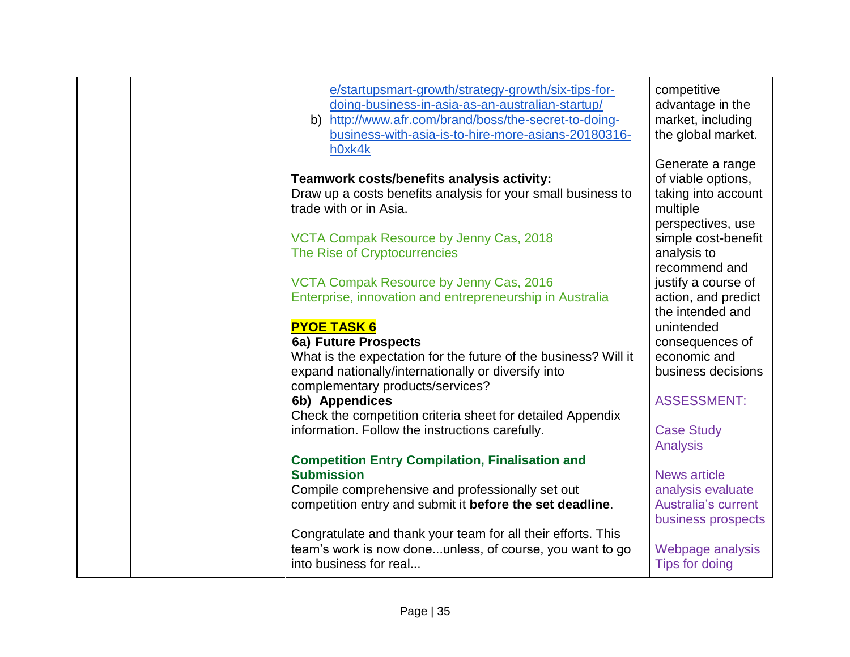| e/startupsmart-growth/strategy-growth/six-tips-for-<br>doing-business-in-asia-as-an-australian-startup/<br>b) http://www.afr.com/brand/boss/the-secret-to-doing-<br>business-with-asia-is-to-hire-more-asians-20180316-<br>h0xk4k | competitive<br>advantage in the<br>market, including<br>the global market. |
|-----------------------------------------------------------------------------------------------------------------------------------------------------------------------------------------------------------------------------------|----------------------------------------------------------------------------|
| Teamwork costs/benefits analysis activity:                                                                                                                                                                                        | Generate a range<br>of viable options,                                     |
| Draw up a costs benefits analysis for your small business to                                                                                                                                                                      | taking into account                                                        |
| trade with or in Asia.                                                                                                                                                                                                            | multiple                                                                   |
|                                                                                                                                                                                                                                   | perspectives, use                                                          |
| VCTA Compak Resource by Jenny Cas, 2018                                                                                                                                                                                           | simple cost-benefit                                                        |
| The Rise of Cryptocurrencies                                                                                                                                                                                                      | analysis to                                                                |
|                                                                                                                                                                                                                                   | recommend and                                                              |
| VCTA Compak Resource by Jenny Cas, 2016                                                                                                                                                                                           | justify a course of                                                        |
| Enterprise, innovation and entrepreneurship in Australia                                                                                                                                                                          | action, and predict                                                        |
|                                                                                                                                                                                                                                   | the intended and                                                           |
| <b>PYOE TASK 6</b>                                                                                                                                                                                                                | unintended                                                                 |
| 6a) Future Prospects                                                                                                                                                                                                              | consequences of                                                            |
| What is the expectation for the future of the business? Will it                                                                                                                                                                   | economic and                                                               |
| expand nationally/internationally or diversify into                                                                                                                                                                               | business decisions                                                         |
| complementary products/services?                                                                                                                                                                                                  |                                                                            |
| 6b) Appendices                                                                                                                                                                                                                    | <b>ASSESSMENT:</b>                                                         |
| Check the competition criteria sheet for detailed Appendix                                                                                                                                                                        |                                                                            |
| information. Follow the instructions carefully.                                                                                                                                                                                   | <b>Case Study</b>                                                          |
|                                                                                                                                                                                                                                   | <b>Analysis</b>                                                            |
| <b>Competition Entry Compilation, Finalisation and</b>                                                                                                                                                                            |                                                                            |
| <b>Submission</b>                                                                                                                                                                                                                 | <b>News article</b>                                                        |
| Compile comprehensive and professionally set out                                                                                                                                                                                  | analysis evaluate                                                          |
| competition entry and submit it before the set deadline.                                                                                                                                                                          | <b>Australia's current</b>                                                 |
|                                                                                                                                                                                                                                   | business prospects                                                         |
| Congratulate and thank your team for all their efforts. This                                                                                                                                                                      |                                                                            |
| team's work is now doneunless, of course, you want to go                                                                                                                                                                          | Webpage analysis                                                           |
| into business for real                                                                                                                                                                                                            | Tips for doing                                                             |